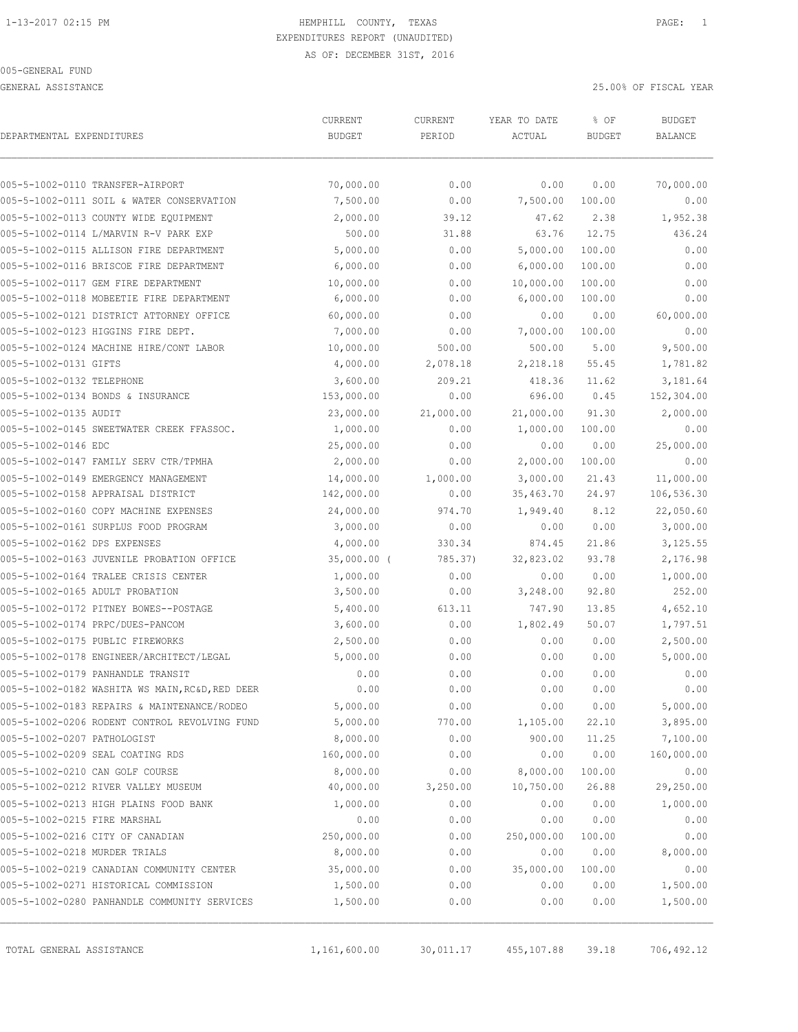GENERAL ASSISTANCE 25.00% OF FISCAL YEAR

| DEPARTMENTAL EXPENDITURES                       | CURRENT       | CURRENT   | YEAR TO DATE | % OF          | <b>BUDGET</b>  |
|-------------------------------------------------|---------------|-----------|--------------|---------------|----------------|
|                                                 | <b>BUDGET</b> | PERIOD    | ACTUAL       | <b>BUDGET</b> | <b>BALANCE</b> |
| 005-5-1002-0110 TRANSFER-AIRPORT                | 70,000.00     | 0.00      | 0.00         | 0.00          | 70,000.00      |
| 005-5-1002-0111 SOIL & WATER CONSERVATION       | 7,500.00      | 0.00      | 7,500.00     | 100.00        | 0.00           |
| 005-5-1002-0113 COUNTY WIDE EQUIPMENT           | 2,000.00      | 39.12     | 47.62        | 2.38          | 1,952.38       |
| 005-5-1002-0114 L/MARVIN R-V PARK EXP           | 500.00        | 31.88     | 63.76        | 12.75         | 436.24         |
| 005-5-1002-0115 ALLISON FIRE DEPARTMENT         | 5,000.00      | 0.00      | 5,000.00     | 100.00        | 0.00           |
| 005-5-1002-0116 BRISCOE FIRE DEPARTMENT         | 6,000.00      | 0.00      | 6,000.00     | 100.00        | 0.00           |
| 005-5-1002-0117 GEM FIRE DEPARTMENT             | 10,000.00     | 0.00      | 10,000.00    | 100.00        | 0.00           |
| 005-5-1002-0118 MOBEETIE FIRE DEPARTMENT        | 6,000.00      | 0.00      | 6,000.00     | 100.00        | 0.00           |
| 005-5-1002-0121 DISTRICT ATTORNEY OFFICE        | 60,000.00     | 0.00      | 0.00         | 0.00          | 60,000.00      |
| 005-5-1002-0123 HIGGINS FIRE DEPT.              | 7,000.00      | 0.00      | 7,000.00     | 100.00        | 0.00           |
| 005-5-1002-0124 MACHINE HIRE/CONT LABOR         | 10,000.00     | 500.00    | 500.00       | 5.00          | 9,500.00       |
| 005-5-1002-0131 GIFTS                           | 4,000.00      | 2,078.18  | 2,218.18     | 55.45         | 1,781.82       |
| 005-5-1002-0132 TELEPHONE                       | 3,600.00      | 209.21    | 418.36       | 11.62         | 3,181.64       |
| 005-5-1002-0134 BONDS & INSURANCE               | 153,000.00    | 0.00      | 696.00       | 0.45          | 152,304.00     |
| 005-5-1002-0135 AUDIT                           | 23,000.00     | 21,000.00 | 21,000.00    | 91.30         | 2,000.00       |
| 005-5-1002-0145 SWEETWATER CREEK FFASSOC.       | 1,000.00      | 0.00      | 1,000.00     | 100.00        | 0.00           |
| 005-5-1002-0146 EDC                             | 25,000.00     | 0.00      | 0.00         | 0.00          | 25,000.00      |
| 005-5-1002-0147 FAMILY SERV CTR/TPMHA           | 2,000.00      | 0.00      | 2,000.00     | 100.00        | 0.00           |
| 005-5-1002-0149 EMERGENCY MANAGEMENT            | 14,000.00     | 1,000.00  | 3,000.00     | 21.43         | 11,000.00      |
| 005-5-1002-0158 APPRAISAL DISTRICT              | 142,000.00    | 0.00      | 35,463.70    | 24.97         | 106,536.30     |
| 005-5-1002-0160 COPY MACHINE EXPENSES           | 24,000.00     | 974.70    | 1,949.40     | 8.12          | 22,050.60      |
| 005-5-1002-0161 SURPLUS FOOD PROGRAM            | 3,000.00      | 0.00      | 0.00         | 0.00          | 3,000.00       |
| 005-5-1002-0162 DPS EXPENSES                    | 4,000.00      | 330.34    | 874.45       | 21.86         | 3,125.55       |
| 005-5-1002-0163 JUVENILE PROBATION OFFICE       | $35,000.00$ ( | 785.37)   | 32,823.02    | 93.78         | 2,176.98       |
| 005-5-1002-0164 TRALEE CRISIS CENTER            | 1,000.00      | 0.00      | 0.00         | 0.00          | 1,000.00       |
| 005-5-1002-0165 ADULT PROBATION                 | 3,500.00      | 0.00      | 3,248.00     | 92.80         | 252.00         |
| 005-5-1002-0172 PITNEY BOWES--POSTAGE           | 5,400.00      | 613.11    | 747.90       | 13.85         | 4,652.10       |
| 005-5-1002-0174 PRPC/DUES-PANCOM                | 3,600.00      | 0.00      | 1,802.49     | 50.07         | 1,797.51       |
| 005-5-1002-0175 PUBLIC FIREWORKS                | 2,500.00      | 0.00      | 0.00         | 0.00          | 2,500.00       |
| 005-5-1002-0178 ENGINEER/ARCHITECT/LEGAL        | 5,000.00      | 0.00      | 0.00         | 0.00          | 5,000.00       |
| 005-5-1002-0179 PANHANDLE TRANSIT               | 0.00          | 0.00      | 0.00         | 0.00          | 0.00           |
| 005-5-1002-0182 WASHITA WS MAIN, RC&D, RED DEER | 0.00          | 0.00      | 0.00         | 0.00          | 0.00           |
| 005-5-1002-0183 REPAIRS & MAINTENANCE/RODEO     | 5,000.00      | 0.00      | 0.00         | 0.00          | 5,000.00       |
| 005-5-1002-0206 RODENT CONTROL REVOLVING FUND   | 5,000.00      | 770.00    | 1,105.00     | 22.10         | 3,895.00       |
| 005-5-1002-0207 PATHOLOGIST                     | 8,000.00      | 0.00      | 900.00       | 11.25         | 7,100.00       |
| 005-5-1002-0209 SEAL COATING RDS                | 160,000.00    | 0.00      | 0.00         | 0.00          | 160,000.00     |
| 005-5-1002-0210 CAN GOLF COURSE                 | 8,000.00      | 0.00      | 8,000.00     | 100.00        | 0.00           |
| 005-5-1002-0212 RIVER VALLEY MUSEUM             | 40,000.00     | 3,250.00  | 10,750.00    | 26.88         | 29,250.00      |
| 005-5-1002-0213 HIGH PLAINS FOOD BANK           | 1,000.00      | 0.00      | 0.00         | 0.00          | 1,000.00       |
| 005-5-1002-0215 FIRE MARSHAL                    | 0.00          | 0.00      | 0.00         | 0.00          | 0.00           |
| 005-5-1002-0216 CITY OF CANADIAN                | 250,000.00    | 0.00      | 250,000.00   | 100.00        | 0.00           |
| 005-5-1002-0218 MURDER TRIALS                   | 8,000.00      | 0.00      | 0.00         | 0.00          | 8,000.00       |
| 005-5-1002-0219 CANADIAN COMMUNITY CENTER       | 35,000.00     | 0.00      | 35,000.00    | 100.00        | 0.00           |
| 005-5-1002-0271 HISTORICAL COMMISSION           | 1,500.00      | 0.00      | 0.00         | 0.00          | 1,500.00       |
| 005-5-1002-0280 PANHANDLE COMMUNITY SERVICES    | 1,500.00      | 0.00      | 0.00         | 0.00          | 1,500.00       |

TOTAL GENERAL ASSISTANCE 1,161,600.00 30,011.17 455,107.88 39.18 706,492.12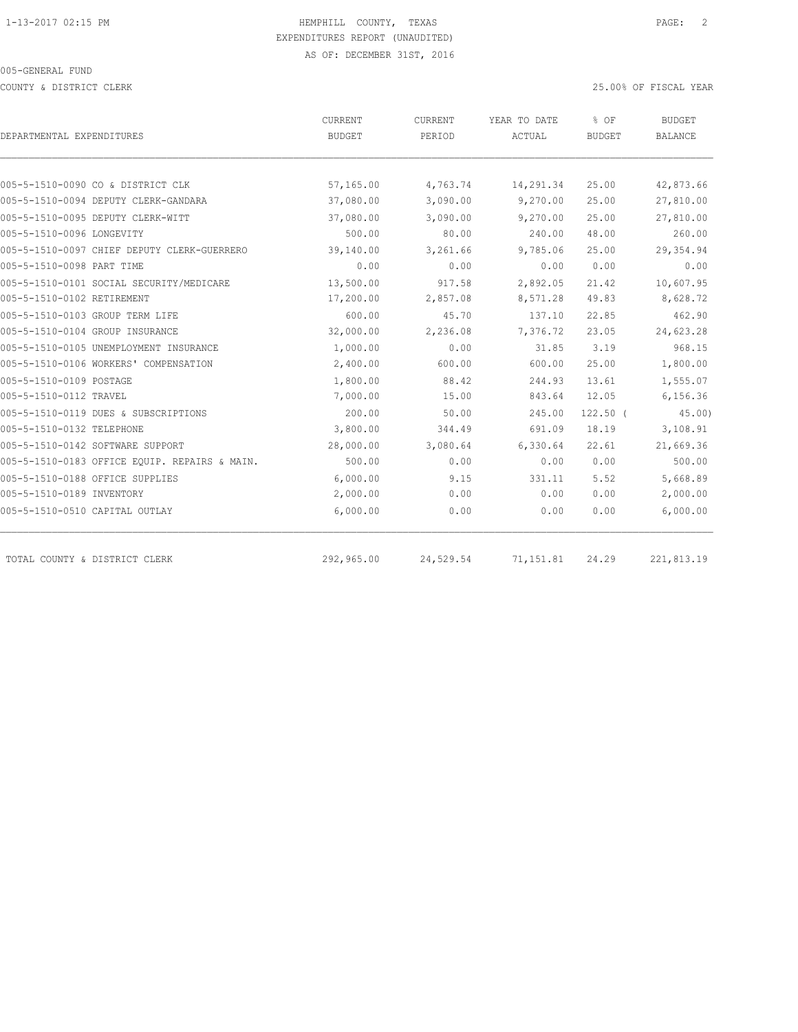COUNTY & DISTRICT CLERK 25.00% OF FISCAL YEAR

|                                               | CURRENT    | CURRENT   | YEAR TO DATE | % OF          | <b>BUDGET</b>  |  |
|-----------------------------------------------|------------|-----------|--------------|---------------|----------------|--|
| DEPARTMENTAL EXPENDITURES                     | BUDGET     | PERIOD    | ACTUAL       | <b>BUDGET</b> | <b>BALANCE</b> |  |
|                                               |            |           |              |               |                |  |
| 005-5-1510-0090 CO & DISTRICT CLK             | 57,165.00  | 4,763.74  | 14,291.34    | 25.00         | 42,873.66      |  |
| 005-5-1510-0094 DEPUTY CLERK-GANDARA          | 37,080.00  | 3,090.00  | 9,270.00     | 25.00         | 27,810.00      |  |
| 005-5-1510-0095 DEPUTY CLERK-WITT             | 37,080.00  | 3,090.00  | 9,270.00     | 25.00         | 27,810.00      |  |
| 005-5-1510-0096 LONGEVITY                     | 500.00     | 80.00     | 240.00       | 48.00         | 260.00         |  |
| 005-5-1510-0097 CHIEF DEPUTY CLERK-GUERRERO   | 39,140.00  | 3,261.66  | 9,785.06     | 25.00         | 29,354.94      |  |
| 005-5-1510-0098 PART TIME                     | 0.00       | 0.00      | 0.00         | 0.00          | 0.00           |  |
| 005-5-1510-0101 SOCIAL SECURITY/MEDICARE      | 13,500.00  | 917.58    | 2,892.05     | 21.42         | 10,607.95      |  |
| 005-5-1510-0102 RETIREMENT                    | 17,200.00  | 2,857.08  | 8,571.28     | 49.83         | 8,628.72       |  |
| 005-5-1510-0103 GROUP TERM LIFE               | 600.00     | 45.70     | 137.10       | 22.85         | 462.90         |  |
| 005-5-1510-0104 GROUP INSURANCE               | 32,000.00  | 2,236.08  | 7,376.72     | 23.05         | 24,623.28      |  |
| 005-5-1510-0105 UNEMPLOYMENT INSURANCE        | 1,000.00   | 0.00      | 31.85        | 3.19          | 968.15         |  |
| 005-5-1510-0106 WORKERS' COMPENSATION         | 2,400.00   | 600.00    | 600.00       | 25.00         | 1,800.00       |  |
| 005-5-1510-0109 POSTAGE                       | 1,800.00   | 88.42     | 244.93       | 13.61         | 1,555.07       |  |
| 005-5-1510-0112 TRAVEL                        | 7,000.00   | 15.00     | 843.64       | 12.05         | 6,156.36       |  |
| 005-5-1510-0119 DUES & SUBSCRIPTIONS          | 200.00     | 50.00     | 245.00       | $122.50$ (    | 45.00          |  |
| 005-5-1510-0132 TELEPHONE                     | 3,800.00   | 344.49    | 691.09       | 18.19         | 3,108.91       |  |
| 005-5-1510-0142 SOFTWARE SUPPORT              | 28,000.00  | 3,080.64  | 6,330.64     | 22.61         | 21,669.36      |  |
| 005-5-1510-0183 OFFICE EQUIP. REPAIRS & MAIN. | 500.00     | 0.00      | 0.00         | 0.00          | 500.00         |  |
| 005-5-1510-0188 OFFICE SUPPLIES               | 6,000.00   | 9.15      | 331.11       | 5.52          | 5,668.89       |  |
| 005-5-1510-0189 INVENTORY                     | 2,000.00   | 0.00      | 0.00         | 0.00          | 2,000.00       |  |
| 005-5-1510-0510 CAPITAL OUTLAY                | 6,000.00   | 0.00      | 0.00         | 0.00          | 6,000.00       |  |
|                                               |            |           |              |               |                |  |
| TOTAL COUNTY & DISTRICT CLERK                 | 292,965.00 | 24,529.54 | 71,151.81    | 24.29         | 221,813.19     |  |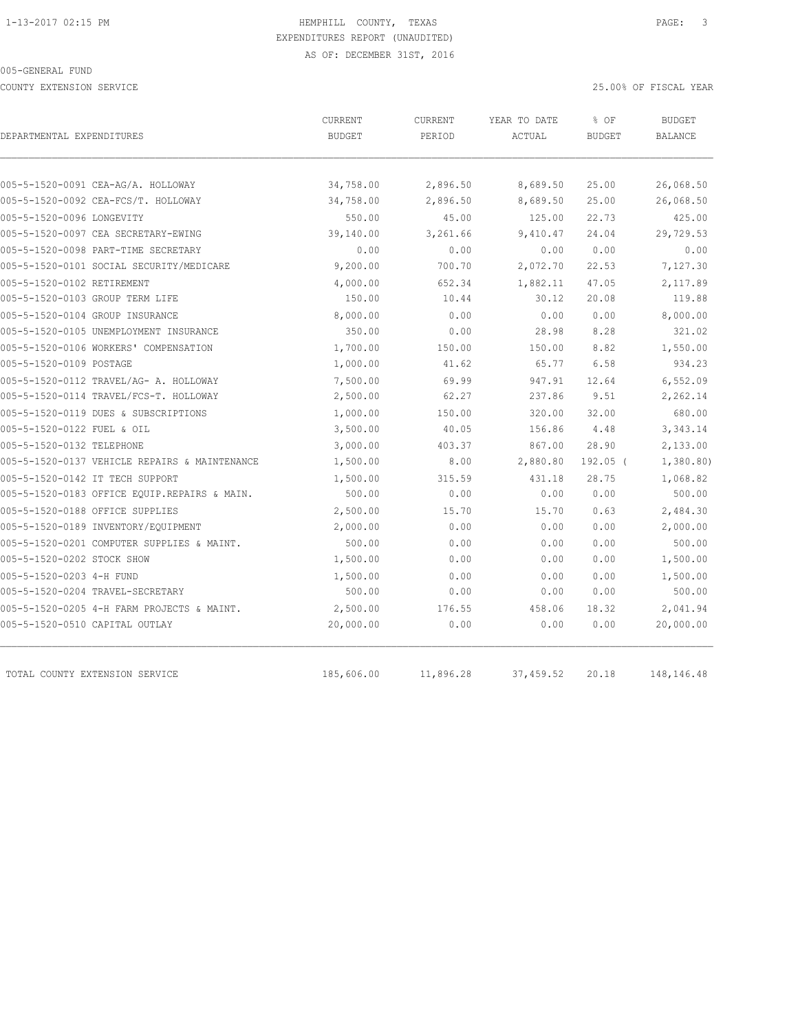COUNTY EXTENSION SERVICE 25.00% OF FISCAL YEAR

| DEPARTMENTAL EXPENDITURES                     | CURRENT<br><b>BUDGET</b> | CURRENT<br>PERIOD | YEAR TO DATE<br>ACTUAL | % OF<br><b>BUDGET</b> | <b>BUDGET</b><br><b>BALANCE</b> |
|-----------------------------------------------|--------------------------|-------------------|------------------------|-----------------------|---------------------------------|
|                                               |                          |                   |                        |                       |                                 |
| 005-5-1520-0091 CEA-AG/A. HOLLOWAY            | 34,758.00                | 2,896.50          | 8,689.50               | 25.00                 | 26,068.50                       |
| 005-5-1520-0092 CEA-FCS/T. HOLLOWAY           | 34,758.00                | 2,896.50          | 8,689.50               | 25.00                 | 26,068.50                       |
| 005-5-1520-0096 LONGEVITY                     | 550.00                   | 45.00             | 125.00                 | 22.73                 | 425.00                          |
| 005-5-1520-0097 CEA SECRETARY-EWING           | 39,140.00                | 3,261.66          | 9,410.47               | 24.04                 | 29,729.53                       |
| 005-5-1520-0098 PART-TIME SECRETARY           | 0.00                     | 0.00              | 0.00                   | 0.00                  | 0.00                            |
| 005-5-1520-0101 SOCIAL SECURITY/MEDICARE      | 9,200.00                 | 700.70            | 2,072.70               | 22.53                 | 7,127.30                        |
| 005-5-1520-0102 RETIREMENT                    | 4,000.00                 | 652.34            | 1,882.11               | 47.05                 | 2,117.89                        |
| 005-5-1520-0103 GROUP TERM LIFE               | 150.00                   | 10.44             | 30.12                  | 20.08                 | 119.88                          |
| 005-5-1520-0104 GROUP INSURANCE               | 8,000.00                 | 0.00              | 0.00                   | 0.00                  | 8,000.00                        |
| 005-5-1520-0105 UNEMPLOYMENT INSURANCE        | 350.00                   | 0.00              | 28.98                  | 8.28                  | 321.02                          |
| 005-5-1520-0106 WORKERS' COMPENSATION         | 1,700.00                 | 150.00            | 150.00                 | 8.82                  | 1,550.00                        |
| 005-5-1520-0109 POSTAGE                       | 1,000.00                 | 41.62             | 65.77                  | 6.58                  | 934.23                          |
| 005-5-1520-0112 TRAVEL/AG- A. HOLLOWAY        | 7,500.00                 | 69.99             | 947.91                 | 12.64                 | 6,552.09                        |
| 005-5-1520-0114 TRAVEL/FCS-T. HOLLOWAY        | 2,500.00                 | 62.27             | 237.86                 | 9.51                  | 2,262.14                        |
| 005-5-1520-0119 DUES & SUBSCRIPTIONS          | 1,000.00                 | 150.00            | 320.00                 | 32.00                 | 680.00                          |
| 005-5-1520-0122 FUEL & OIL                    | 3,500.00                 | 40.05             | 156.86                 | 4.48                  | 3,343.14                        |
| 005-5-1520-0132 TELEPHONE                     | 3,000.00                 | 403.37            | 867.00                 | 28.90                 | 2,133.00                        |
| 005-5-1520-0137 VEHICLE REPAIRS & MAINTENANCE | 1,500.00                 | 8.00              | 2,880.80               | $192.05$ (            | 1,380.80)                       |
| 005-5-1520-0142 IT TECH SUPPORT               | 1,500.00                 | 315.59            | 431.18                 | 28.75                 | 1,068.82                        |
| 005-5-1520-0183 OFFICE EQUIP.REPAIRS & MAIN.  | 500.00                   | 0.00              | 0.00                   | 0.00                  | 500.00                          |
| 005-5-1520-0188 OFFICE SUPPLIES               | 2,500.00                 | 15.70             | 15.70                  | 0.63                  | 2,484.30                        |
| 005-5-1520-0189 INVENTORY/EQUIPMENT           | 2,000.00                 | 0.00              | 0.00                   | 0.00                  | 2,000.00                        |
| 005-5-1520-0201 COMPUTER SUPPLIES & MAINT.    | 500.00                   | 0.00              | 0.00                   | 0.00                  | 500.00                          |
| 005-5-1520-0202 STOCK SHOW                    | 1,500.00                 | 0.00              | 0.00                   | 0.00                  | 1,500.00                        |
| 005-5-1520-0203 4-H FUND                      | 1,500.00                 | 0.00              | 0.00                   | 0.00                  | 1,500.00                        |
| 005-5-1520-0204 TRAVEL-SECRETARY              | 500.00                   | 0.00              | 0.00                   | 0.00                  | 500.00                          |
| 005-5-1520-0205 4-H FARM PROJECTS & MAINT.    | 2,500.00                 | 176.55            | 458.06                 | 18.32                 | 2,041.94                        |
| 005-5-1520-0510 CAPITAL OUTLAY                | 20,000.00                | 0.00              | 0.00                   | 0.00                  | 20,000.00                       |
| TOTAL COUNTY EXTENSION SERVICE                | 185,606.00               | 11,896.28         | 37,459.52              | 20.18                 | 148,146.48                      |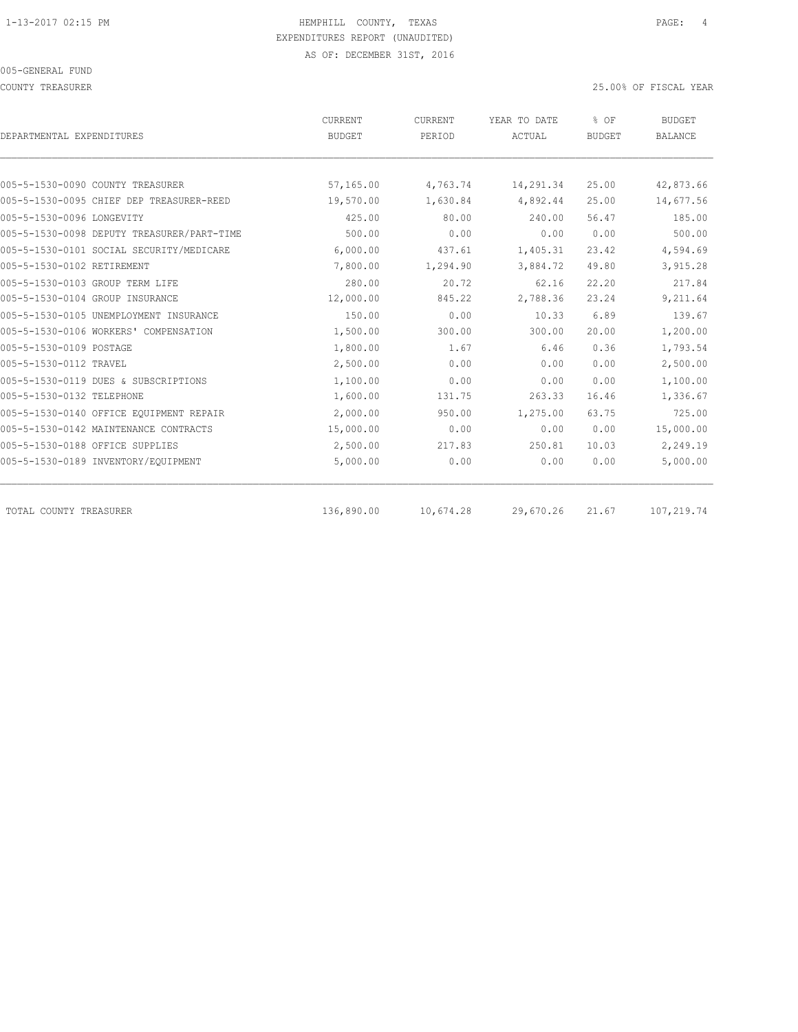| DEPARTMENTAL EXPENDITURES                  | CURRENT<br><b>BUDGET</b> | <b>CURRENT</b><br>PERIOD | YEAR TO DATE<br><b>ACTUAL</b> | % OF<br><b>BUDGET</b> | <b>BUDGET</b><br><b>BALANCE</b> |
|--------------------------------------------|--------------------------|--------------------------|-------------------------------|-----------------------|---------------------------------|
|                                            |                          |                          |                               |                       |                                 |
| 005-5-1530-0090 COUNTY TREASURER           | 57,165.00                | 4,763.74                 | 14,291.34                     | 25.00                 | 42,873.66                       |
| 005-5-1530-0095 CHIEF DEP TREASURER-REED   | 19,570.00                | 1,630.84                 | 4,892.44                      | 25.00                 | 14,677.56                       |
| 005-5-1530-0096 LONGEVITY                  | 425.00                   | 80.00                    | 240.00                        | 56.47                 | 185.00                          |
| 005-5-1530-0098 DEPUTY TREASURER/PART-TIME | 500.00                   | 0.00                     | 0.00                          | 0.00                  | 500.00                          |
| 005-5-1530-0101 SOCIAL SECURITY/MEDICARE   | 6,000.00                 | 437.61                   | 1,405.31                      | 23.42                 | 4,594.69                        |
| 005-5-1530-0102 RETIREMENT                 | 7,800.00                 | 1,294.90                 | 3,884.72                      | 49.80                 | 3,915.28                        |
| 005-5-1530-0103 GROUP TERM LIFE            | 280.00                   | 20.72                    | 62.16                         | 22.20                 | 217.84                          |
| 005-5-1530-0104 GROUP INSURANCE            | 12,000.00                | 845.22                   | 2,788.36                      | 23.24                 | 9,211.64                        |
| 005-5-1530-0105 UNEMPLOYMENT INSURANCE     | 150.00                   | 0.00                     | 10.33                         | 6.89                  | 139.67                          |
| 005-5-1530-0106 WORKERS' COMPENSATION      | 1,500.00                 | 300.00                   | 300.00                        | 20.00                 | 1,200.00                        |
| 005-5-1530-0109 POSTAGE                    | 1,800.00                 | 1.67                     | 6.46                          | 0.36                  | 1,793.54                        |
| 005-5-1530-0112 TRAVEL                     | 2,500.00                 | 0.00                     | 0.00                          | 0.00                  | 2,500.00                        |
| 005-5-1530-0119 DUES & SUBSCRIPTIONS       | 1,100.00                 | 0.00                     | 0.00                          | 0.00                  | 1,100.00                        |
| 005-5-1530-0132 TELEPHONE                  | 1,600.00                 | 131.75                   | 263.33                        | 16.46                 | 1,336.67                        |
| 005-5-1530-0140 OFFICE EQUIPMENT REPAIR    | 2,000.00                 | 950.00                   | 1,275.00                      | 63.75                 | 725.00                          |
| 005-5-1530-0142 MAINTENANCE CONTRACTS      | 15,000.00                | 0.00                     | 0.00                          | 0.00                  | 15,000.00                       |
| 005-5-1530-0188 OFFICE SUPPLIES            | 2,500.00                 | 217.83                   | 250.81                        | 10.03                 | 2,249.19                        |
| 005-5-1530-0189 INVENTORY/EQUIPMENT        | 5,000.00                 | 0.00                     | 0.00                          | 0.00                  | 5,000.00                        |
| TOTAL COUNTY TREASURER                     | 136,890.00               | 10,674.28                | 29,670.26                     | 21.67                 | 107,219.74                      |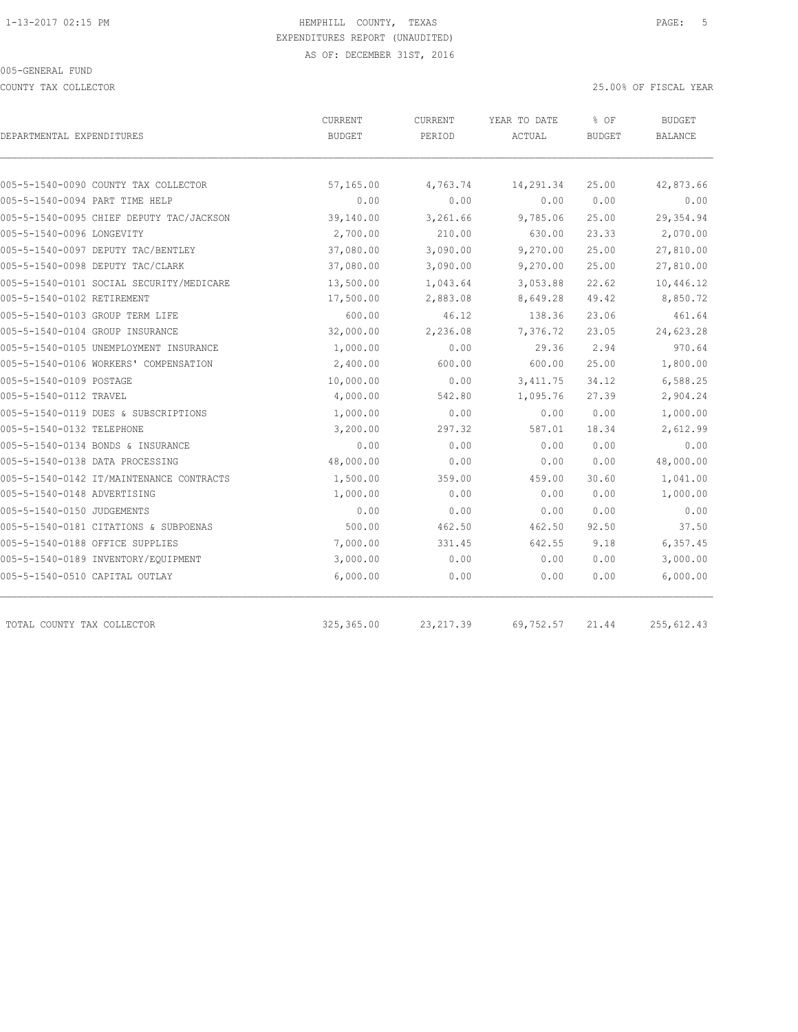COUNTY TAX COLLECTOR 25.00% OF FISCAL YEAR

| DEPARTMENTAL EXPENDITURES                | CURRENT<br><b>BUDGET</b> | <b>CURRENT</b><br>PERIOD | YEAR TO DATE<br>ACTUAL | % OF<br><b>BUDGET</b> | <b>BUDGET</b><br>BALANCE |
|------------------------------------------|--------------------------|--------------------------|------------------------|-----------------------|--------------------------|
| 005-5-1540-0090 COUNTY TAX COLLECTOR     | 57,165.00                | 4,763.74                 | 14,291.34              | 25.00                 | 42,873.66                |
| 005-5-1540-0094 PART TIME HELP           | 0.00                     | 0.00                     | 0.00                   | 0.00                  | 0.00                     |
| 005-5-1540-0095 CHIEF DEPUTY TAC/JACKSON | 39,140.00                | 3,261.66                 | 9,785.06               | 25.00                 | 29,354.94                |
| 005-5-1540-0096 LONGEVITY                | 2,700.00                 | 210.00                   | 630.00                 | 23.33                 | 2,070.00                 |
| 005-5-1540-0097 DEPUTY TAC/BENTLEY       | 37,080.00                | 3,090.00                 | 9,270.00               | 25.00                 | 27,810.00                |
| 005-5-1540-0098 DEPUTY TAC/CLARK         | 37,080.00                | 3,090.00                 | 9,270.00               | 25.00                 | 27,810.00                |
| 005-5-1540-0101 SOCIAL SECURITY/MEDICARE | 13,500.00                | 1,043.64                 | 3,053.88               | 22.62                 | 10,446.12                |
| 005-5-1540-0102 RETIREMENT               | 17,500.00                | 2,883.08                 | 8,649.28               | 49.42                 | 8,850.72                 |
| 005-5-1540-0103 GROUP TERM LIFE          | 600.00                   | 46.12                    | 138.36                 | 23.06                 | 461.64                   |
| 005-5-1540-0104 GROUP INSURANCE          | 32,000.00                | 2,236.08                 | 7,376.72               | 23.05                 | 24,623.28                |
| 005-5-1540-0105 UNEMPLOYMENT INSURANCE   | 1,000.00                 | 0.00                     | 29.36                  | 2.94                  | 970.64                   |
| 005-5-1540-0106 WORKERS' COMPENSATION    | 2,400.00                 | 600.00                   | 600.00                 | 25.00                 | 1,800.00                 |
| 005-5-1540-0109 POSTAGE                  | 10,000.00                | 0.00                     | 3, 411.75              | 34.12                 | 6,588.25                 |
| 005-5-1540-0112 TRAVEL                   | 4,000.00                 | 542.80                   | 1,095.76               | 27.39                 | 2,904.24                 |
| 005-5-1540-0119 DUES & SUBSCRIPTIONS     | 1,000.00                 | 0.00                     | 0.00                   | 0.00                  | 1,000.00                 |
| 005-5-1540-0132 TELEPHONE                | 3,200.00                 | 297.32                   | 587.01                 | 18.34                 | 2,612.99                 |
| 005-5-1540-0134 BONDS & INSURANCE        | 0.00                     | 0.00                     | 0.00                   | 0.00                  | 0.00                     |
| 005-5-1540-0138 DATA PROCESSING          | 48,000.00                | 0.00                     | 0.00                   | 0.00                  | 48,000.00                |
| 005-5-1540-0142 IT/MAINTENANCE CONTRACTS | 1,500.00                 | 359.00                   | 459.00                 | 30.60                 | 1,041.00                 |
| 005-5-1540-0148 ADVERTISING              | 1,000.00                 | 0.00                     | 0.00                   | 0.00                  | 1,000.00                 |
| 005-5-1540-0150 JUDGEMENTS               | 0.00                     | 0.00                     | 0.00                   | 0.00                  | 0.00                     |
| 005-5-1540-0181 CITATIONS & SUBPOENAS    | 500.00                   | 462.50                   | 462.50                 | 92.50                 | 37.50                    |
| 005-5-1540-0188 OFFICE SUPPLIES          | 7,000.00                 | 331.45                   | 642.55                 | 9.18                  | 6,357.45                 |
| 005-5-1540-0189 INVENTORY/EQUIPMENT      | 3,000.00                 | 0.00                     | 0.00                   | 0.00                  | 3,000.00                 |
| 005-5-1540-0510 CAPITAL OUTLAY           | 6,000.00                 | 0.00                     | 0.00                   | 0.00                  | 6,000.00                 |
| TOTAL COUNTY TAX COLLECTOR               | 325, 365.00              | 23, 217.39               | 69,752.57              | 21.44                 | 255, 612.43              |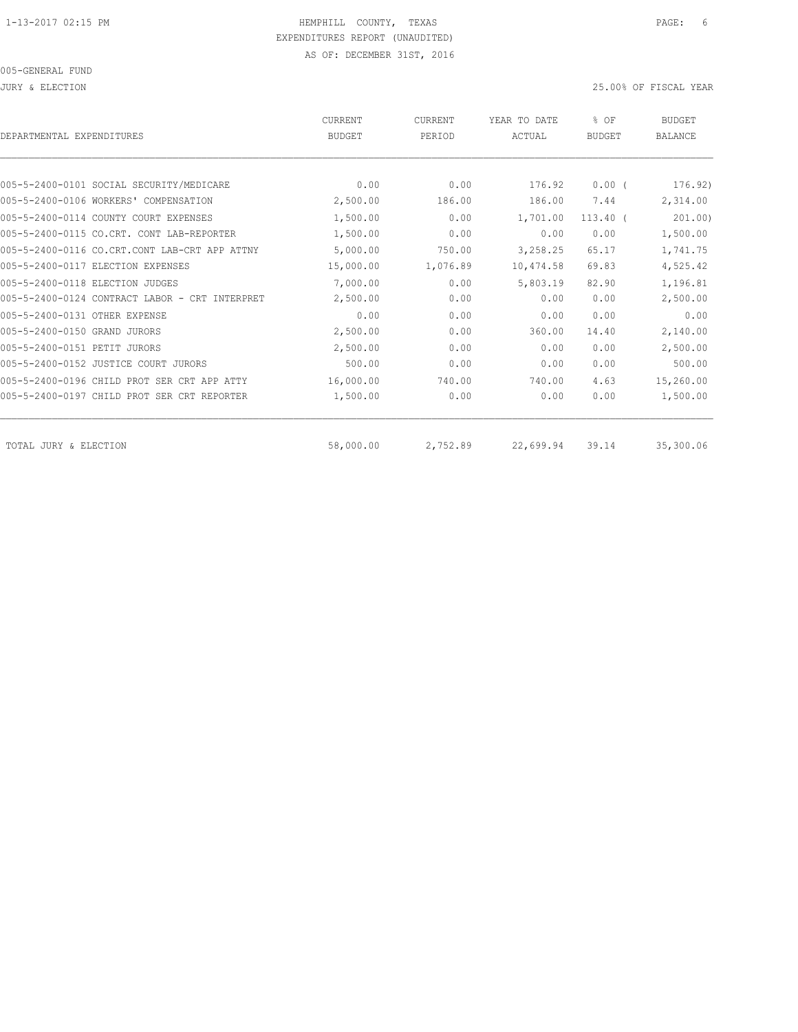| DEPARTMENTAL EXPENDITURES                      | <b>CURRENT</b><br><b>BUDGET</b> | <b>CURRENT</b><br>PERIOD | YEAR TO DATE<br>ACTUAL | % OF<br><b>BUDGET</b> | <b>BUDGET</b><br><b>BALANCE</b> |
|------------------------------------------------|---------------------------------|--------------------------|------------------------|-----------------------|---------------------------------|
|                                                |                                 |                          |                        |                       |                                 |
| 005-5-2400-0101 SOCIAL SECURITY/MEDICARE       | 0.00                            | 0.00                     | 176.92                 | $0.00$ (              | 176.92)                         |
| 005-5-2400-0106 WORKERS' COMPENSATION          | 2,500.00                        | 186.00                   | 186.00                 | 7.44                  | 2,314.00                        |
| 005-5-2400-0114 COUNTY COURT EXPENSES          | 1,500.00                        | 0.00                     | 1,701.00               | $113.40$ $($          | 201.00)                         |
| 005-5-2400-0115 CO.CRT. CONT LAB-REPORTER      | 1,500.00                        | 0.00                     | 0.00                   | 0.00                  | 1,500.00                        |
| 005-5-2400-0116 CO.CRT.CONT LAB-CRT APP ATTNY  | 5,000.00                        | 750.00                   | 3,258.25               | 65.17                 | 1,741.75                        |
| 005-5-2400-0117 ELECTION EXPENSES              | 15,000.00                       | 1,076.89                 | 10,474.58              | 69.83                 | 4,525.42                        |
| 005-5-2400-0118 ELECTION JUDGES                | 7,000.00                        | 0.00                     | 5,803.19               | 82.90                 | 1,196.81                        |
| 005-5-2400-0124 CONTRACT LABOR - CRT INTERPRET | 2,500.00                        | 0.00                     | 0.00                   | 0.00                  | 2,500.00                        |
| 005-5-2400-0131 OTHER EXPENSE                  | 0.00                            | 0.00                     | 0.00                   | 0.00                  | 0.00                            |
| 005-5-2400-0150 GRAND JURORS                   | 2,500.00                        | 0.00                     | 360.00                 | 14.40                 | 2,140.00                        |
| 005-5-2400-0151 PETIT JURORS                   | 2,500.00                        | 0.00                     | 0.00                   | 0.00                  | 2,500.00                        |
| 005-5-2400-0152 JUSTICE COURT JURORS           | 500.00                          | 0.00                     | 0.00                   | 0.00                  | 500.00                          |
| 005-5-2400-0196 CHILD PROT SER CRT APP ATTY    | 16,000.00                       | 740.00                   | 740.00                 | 4.63                  | 15,260.00                       |
| 005-5-2400-0197 CHILD PROT SER CRT REPORTER    | 1,500.00                        | 0.00                     | 0.00                   | 0.00                  | 1,500.00                        |
| TOTAL JURY & ELECTION                          | 58,000.00                       | 2,752.89                 | 22,699.94              | 39.14                 | 35,300.06                       |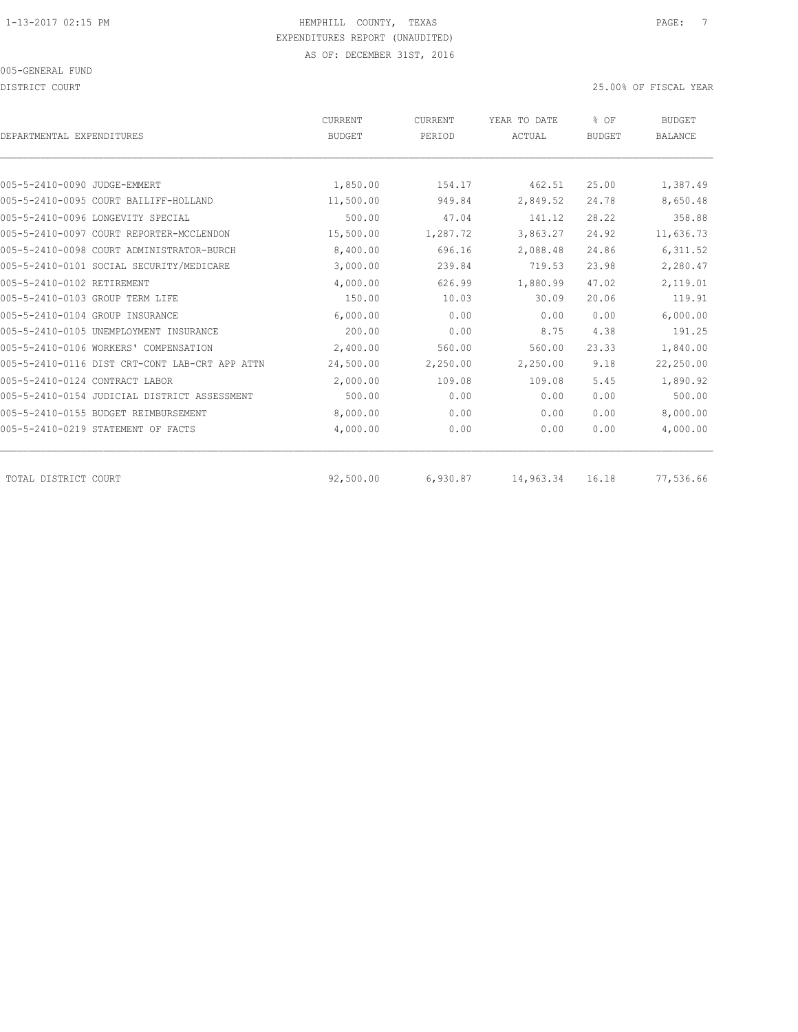DISTRICT COURT 25.00% OF FISCAL YEAR

| DEPARTMENTAL EXPENDITURES                      | <b>CURRENT</b><br><b>BUDGET</b> | CURRENT<br>PERIOD | YEAR TO DATE<br>ACTUAL | % OF<br><b>BUDGET</b> | <b>BUDGET</b><br><b>BALANCE</b> |
|------------------------------------------------|---------------------------------|-------------------|------------------------|-----------------------|---------------------------------|
|                                                |                                 |                   |                        |                       |                                 |
| 005-5-2410-0090 JUDGE-EMMERT                   | 1,850.00                        | 154.17            | 462.51                 | 25.00                 | 1,387.49                        |
| 005-5-2410-0095 COURT BAILIFF-HOLLAND          | 11,500.00                       | 949.84            | 2,849.52               | 24.78                 | 8,650.48                        |
| 005-5-2410-0096 LONGEVITY SPECIAL              | 500.00                          | 47.04             | 141.12                 | 28.22                 | 358.88                          |
| 005-5-2410-0097 COURT REPORTER-MCCLENDON       | 15,500.00                       | 1,287.72          | 3,863.27               | 24.92                 | 11,636.73                       |
| 005-5-2410-0098 COURT ADMINISTRATOR-BURCH      | 8,400.00                        | 696.16            | 2,088.48               | 24.86                 | 6,311.52                        |
| 005-5-2410-0101 SOCIAL SECURITY/MEDICARE       | 3,000.00                        | 239.84            | 719.53                 | 23.98                 | 2,280.47                        |
| 005-5-2410-0102 RETIREMENT                     | 4,000.00                        | 626.99            | 1,880.99               | 47.02                 | 2,119.01                        |
| 005-5-2410-0103 GROUP TERM LIFE                | 150.00                          | 10.03             | 30.09                  | 20.06                 | 119.91                          |
| 005-5-2410-0104 GROUP INSURANCE                | 6,000.00                        | 0.00              | 0.00                   | 0.00                  | 6,000.00                        |
| 005-5-2410-0105 UNEMPLOYMENT INSURANCE         | 200.00                          | 0.00              | 8.75                   | 4.38                  | 191.25                          |
| 005-5-2410-0106 WORKERS' COMPENSATION          | 2,400.00                        | 560.00            | 560.00                 | 23.33                 | 1,840.00                        |
| 005-5-2410-0116 DIST CRT-CONT LAB-CRT APP ATTN | 24,500.00                       | 2,250.00          | 2,250.00               | 9.18                  | 22,250.00                       |
| 005-5-2410-0124 CONTRACT LABOR                 | 2,000.00                        | 109.08            | 109.08                 | 5.45                  | 1,890.92                        |
| 005-5-2410-0154 JUDICIAL DISTRICT ASSESSMENT   | 500.00                          | 0.00              | 0.00                   | 0.00                  | 500.00                          |
| 005-5-2410-0155 BUDGET REIMBURSEMENT           | 8,000.00                        | 0.00              | 0.00                   | 0.00                  | 8,000.00                        |
| 005-5-2410-0219 STATEMENT OF FACTS             | 4,000.00                        | 0.00              | 0.00                   | 0.00                  | 4,000.00                        |
| TOTAL DISTRICT COURT                           | 92,500.00                       | 6,930.87          | 14,963.34              | 16.18                 | 77,536.66                       |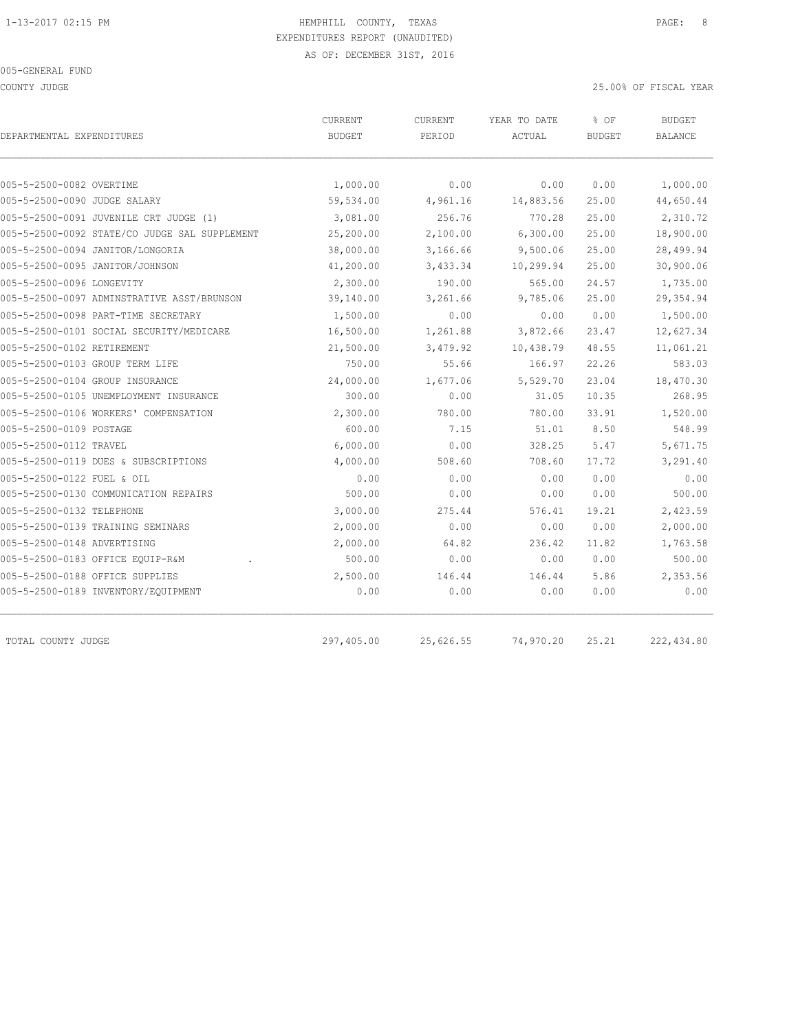COUNTY JUDGE 25.00% OF FISCAL YEAR

| DEPARTMENTAL EXPENDITURES                     | CURRENT<br><b>BUDGET</b> | <b>CURRENT</b><br>PERIOD | YEAR TO DATE<br>ACTUAL | % OF<br><b>BUDGET</b> | <b>BUDGET</b><br><b>BALANCE</b> |
|-----------------------------------------------|--------------------------|--------------------------|------------------------|-----------------------|---------------------------------|
|                                               |                          |                          |                        |                       |                                 |
| 005-5-2500-0082 OVERTIME                      | 1,000.00                 | 0.00                     | 0.00                   | 0.00                  | 1,000.00                        |
| 005-5-2500-0090 JUDGE SALARY                  | 59,534.00                | 4,961.16                 | 14,883.56              | 25.00                 | 44,650.44                       |
| 005-5-2500-0091 JUVENILE CRT JUDGE (1)        | 3,081.00                 | 256.76                   | 770.28                 | 25.00                 | 2,310.72                        |
| 005-5-2500-0092 STATE/CO JUDGE SAL SUPPLEMENT | 25,200.00                | 2,100.00                 | 6,300.00               | 25.00                 | 18,900.00                       |
| 005-5-2500-0094 JANITOR/LONGORIA              | 38,000.00                | 3,166.66                 | 9,500.06               | 25.00                 | 28,499.94                       |
| 005-5-2500-0095 JANITOR/JOHNSON               | 41,200.00                | 3,433.34                 | 10,299.94              | 25.00                 | 30,900.06                       |
| 005-5-2500-0096 LONGEVITY                     | 2,300.00                 | 190.00                   | 565.00                 | 24.57                 | 1,735.00                        |
| 005-5-2500-0097 ADMINSTRATIVE ASST/BRUNSON    | 39,140.00                | 3,261.66                 | 9,785.06               | 25.00                 | 29, 354.94                      |
| 005-5-2500-0098 PART-TIME SECRETARY           | 1,500.00                 | 0.00                     | 0.00                   | 0.00                  | 1,500.00                        |
| 005-5-2500-0101 SOCIAL SECURITY/MEDICARE      | 16,500.00                | 1,261.88                 | 3,872.66               | 23.47                 | 12,627.34                       |
| 005-5-2500-0102 RETIREMENT                    | 21,500.00                | 3,479.92                 | 10,438.79              | 48.55                 | 11,061.21                       |
| 005-5-2500-0103 GROUP TERM LIFE               | 750.00                   | 55.66                    | 166.97                 | 22.26                 | 583.03                          |
| 005-5-2500-0104 GROUP INSURANCE               | 24,000.00                | 1,677.06                 | 5,529.70               | 23.04                 | 18,470.30                       |
| 005-5-2500-0105 UNEMPLOYMENT INSURANCE        | 300.00                   | 0.00                     | 31.05                  | 10.35                 | 268.95                          |
| 005-5-2500-0106 WORKERS' COMPENSATION         | 2,300.00                 | 780.00                   | 780.00                 | 33.91                 | 1,520.00                        |
| 005-5-2500-0109 POSTAGE                       | 600.00                   | 7.15                     | 51.01                  | 8.50                  | 548.99                          |
| 005-5-2500-0112 TRAVEL                        | 6,000.00                 | 0.00                     | 328.25                 | 5.47                  | 5,671.75                        |
| 005-5-2500-0119 DUES & SUBSCRIPTIONS          | 4,000.00                 | 508.60                   | 708.60                 | 17.72                 | 3,291.40                        |
| 005-5-2500-0122 FUEL & OIL                    | 0.00                     | 0.00                     | 0.00                   | 0.00                  | 0.00                            |
| 005-5-2500-0130 COMMUNICATION REPAIRS         | 500.00                   | 0.00                     | 0.00                   | 0.00                  | 500.00                          |
| 005-5-2500-0132 TELEPHONE                     | 3,000.00                 | 275.44                   | 576.41                 | 19.21                 | 2,423.59                        |
| 005-5-2500-0139 TRAINING SEMINARS             | 2,000.00                 | 0.00                     | 0.00                   | 0.00                  | 2,000.00                        |
| 005-5-2500-0148 ADVERTISING                   | 2,000.00                 | 64.82                    | 236.42                 | 11.82                 | 1,763.58                        |
| 005-5-2500-0183 OFFICE EQUIP-R&M              | 500.00                   | 0.00                     | 0.00                   | 0.00                  | 500.00                          |
| 005-5-2500-0188 OFFICE SUPPLIES               | 2,500.00                 | 146.44                   | 146.44                 | 5.86                  | 2,353.56                        |
| 005-5-2500-0189 INVENTORY/EQUIPMENT           | 0.00                     | 0.00                     | 0.00                   | 0.00                  | 0.00                            |
| TOTAL COUNTY JUDGE                            | 297,405.00               | 25,626.55                | 74,970.20              | 25.21                 | 222,434.80                      |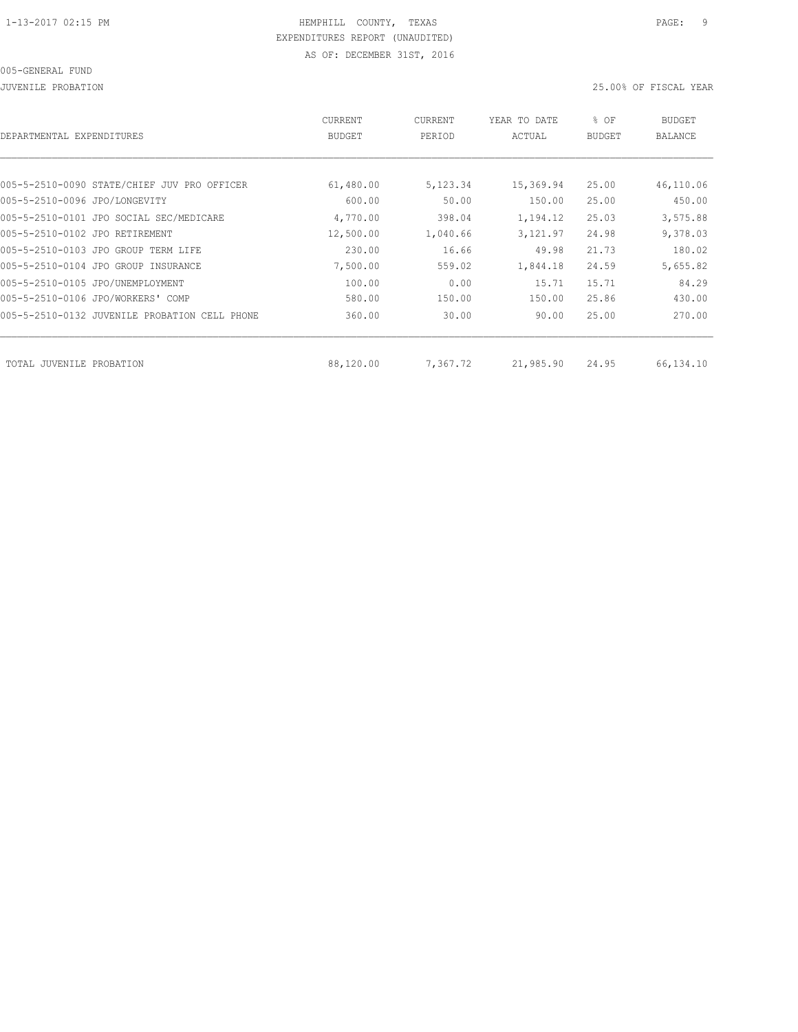JUVENILE PROBATION 25.00% OF FISCAL YEAR

| DEPARTMENTAL EXPENDITURES                        | <b>CURRENT</b><br><b>BUDGET</b> | CURRENT<br>PERIOD | YEAR TO DATE<br>ACTUAL | % OF<br><b>BUDGET</b> | BUDGET<br><b>BALANCE</b> |
|--------------------------------------------------|---------------------------------|-------------------|------------------------|-----------------------|--------------------------|
|                                                  |                                 |                   |                        |                       |                          |
| 005-5-2510-0090 STATE/CHIEF JUV PRO OFFICER      | 61,480.00                       | 5,123.34          | 15,369.94              | 25.00                 | 46,110.06                |
| 005-5-2510-0096 JPO/LONGEVITY                    | 600.00                          | 50.00             | 150.00                 | 25.00                 | 450.00                   |
| 005-5-2510-0101 JPO SOCIAL SEC/MEDICARE          | 4,770.00                        | 398.04            | 1,194.12               | 25.03                 | 3,575.88                 |
| 005-5-2510-0102 JPO RETIREMENT                   | 12,500.00                       | 1,040.66          | 3,121.97               | 24.98                 | 9,378.03                 |
| 005-5-2510-0103 JPO GROUP TERM LIFE              | 230.00                          | 16.66             | 49.98                  | 21.73                 | 180.02                   |
| 005-5-2510-0104 JPO GROUP INSURANCE              | 7,500.00                        | 559.02            | 1,844.18               | 24.59                 | 5,655.82                 |
| 005-5-2510-0105 JPO/UNEMPLOYMENT                 | 100.00                          | 0.00              | 15.71                  | 15.71                 | 84.29                    |
| 005-5-2510-0106 JPO/WORKERS' COMP                | 580.00                          | 150.00            | 150.00                 | 25.86                 | 430.00                   |
| 005-5-2510-0132 JUVENILE PROBATION<br>CELL PHONE | 360.00                          | 30.00             | 90.00                  | 25.00                 | 270.00                   |
|                                                  |                                 |                   |                        |                       |                          |
| TOTAL JUVENILE PROBATION                         | 88,120.00                       | 7,367.72          | 21,985.90              | 24.95                 | 66,134.10                |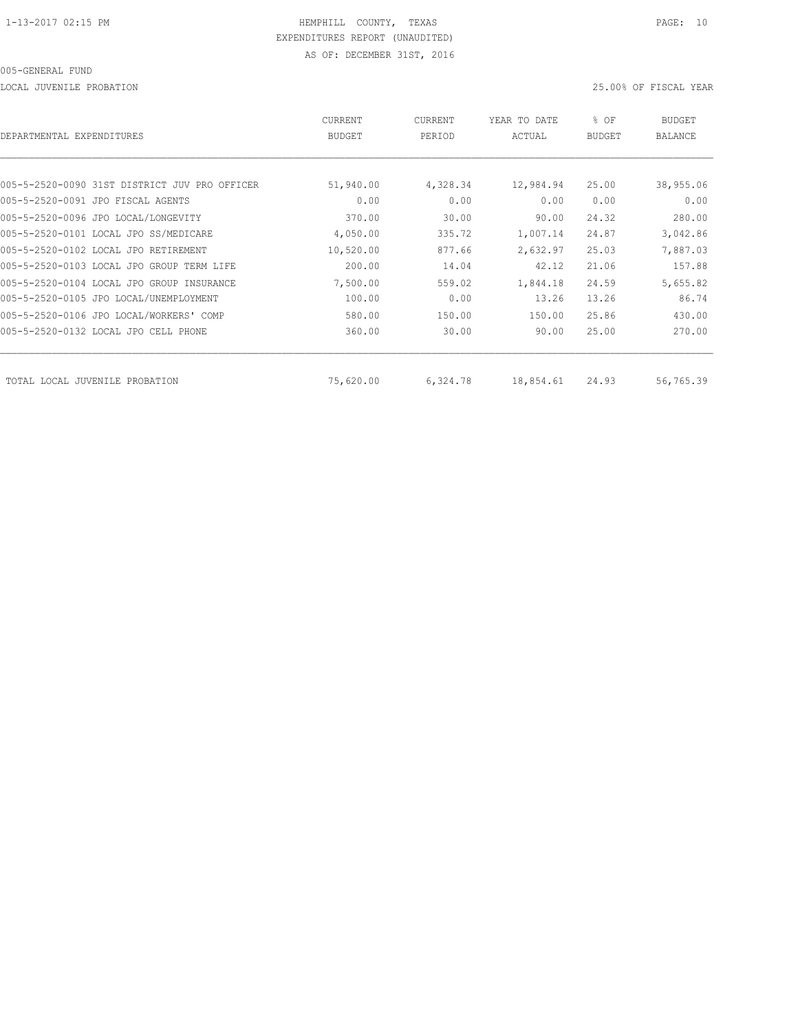LOCAL JUVENILE PROBATION 25.00% OF FISCAL YEAR

| DEPARTMENTAL EXPENDITURES                     | CURRENT<br><b>BUDGET</b> | CURRENT<br>PERIOD | YEAR TO DATE<br>ACTUAL | % OF<br><b>BUDGET</b> | BUDGET<br><b>BALANCE</b> |
|-----------------------------------------------|--------------------------|-------------------|------------------------|-----------------------|--------------------------|
|                                               |                          |                   |                        |                       |                          |
| 005-5-2520-0090 31ST DISTRICT JUV PRO OFFICER | 51,940.00                | 4,328.34          | 12,984.94              | 25.00                 | 38,955.06                |
| 005-5-2520-0091 JPO FISCAL AGENTS             | 0.00                     | 0.00              | 0.00                   | 0.00                  | 0.00                     |
| 005-5-2520-0096 JPO LOCAL/LONGEVITY           | 370.00                   | 30.00             | 90.00                  | 24.32                 | 280.00                   |
| 005-5-2520-0101 LOCAL JPO SS/MEDICARE         | 4,050.00                 | 335.72            | 1,007.14               | 24.87                 | 3,042.86                 |
| 005-5-2520-0102 LOCAL JPO RETIREMENT          | 10,520.00                | 877.66            | 2,632.97               | 25.03                 | 7,887.03                 |
| 005-5-2520-0103 LOCAL JPO GROUP TERM LIFE     | 200.00                   | 14.04             | 42.12                  | 21.06                 | 157.88                   |
| 005-5-2520-0104 LOCAL JPO GROUP INSURANCE     | 7,500.00                 | 559.02            | 1,844.18               | 24.59                 | 5,655.82                 |
| 005-5-2520-0105 JPO LOCAL/UNEMPLOYMENT        | 100.00                   | 0.00              | 13.26                  | 13.26                 | 86.74                    |
| 005-5-2520-0106 JPO LOCAL/WORKERS' COMP       | 580.00                   | 150.00            | 150.00                 | 25.86                 | 430.00                   |
| 005-5-2520-0132 LOCAL JPO CELL PHONE          | 360.00                   | 30.00             | 90.00                  | 25.00                 | 270.00                   |
| TOTAL LOCAL JUVENILE PROBATION                | 75,620.00                | 6,324.78          | 18,854.61              | 24.93                 | 56,765.39                |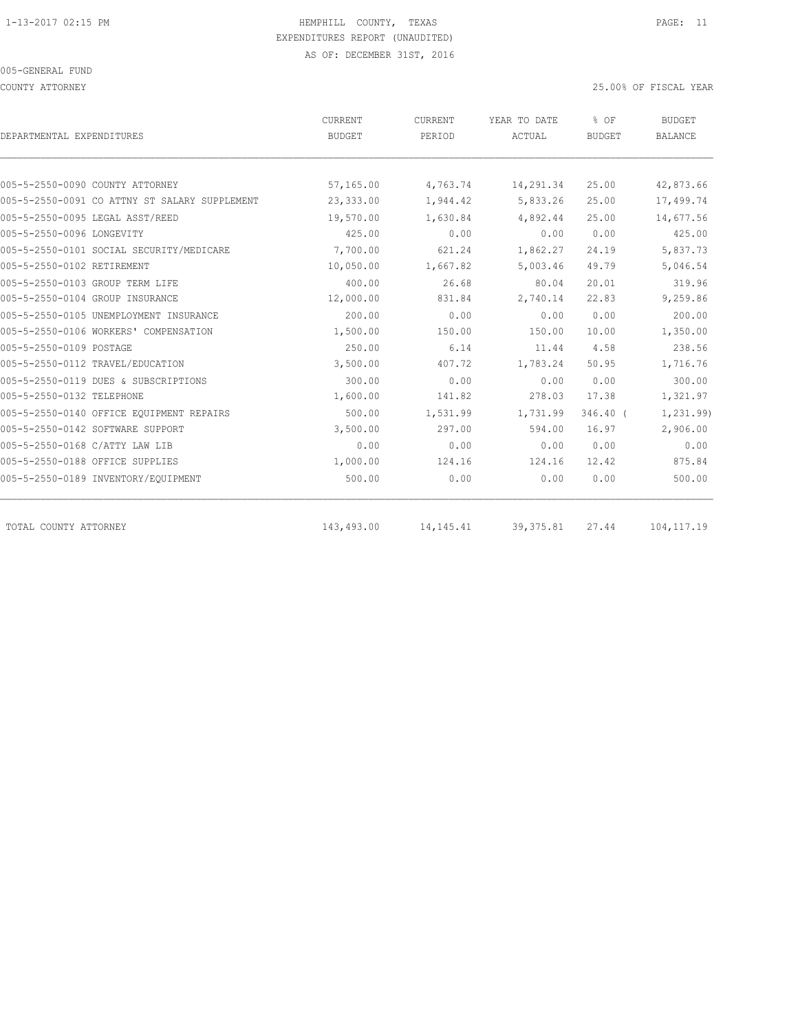COUNTY ATTORNEY 25.00% OF FISCAL YEAR

|                                               | CURRENT       | CURRENT     | YEAR TO DATE | % OF          | <b>BUDGET</b>  |
|-----------------------------------------------|---------------|-------------|--------------|---------------|----------------|
| DEPARTMENTAL EXPENDITURES                     | <b>BUDGET</b> | PERIOD      | ACTUAL       | <b>BUDGET</b> | <b>BALANCE</b> |
|                                               |               |             |              |               |                |
| 005-5-2550-0090 COUNTY ATTORNEY               | 57,165.00     | 4,763.74    | 14,291.34    | 25.00         | 42,873.66      |
| 005-5-2550-0091 CO ATTNY ST SALARY SUPPLEMENT | 23,333.00     | 1,944.42    | 5,833.26     | 25.00         | 17,499.74      |
| 005-5-2550-0095 LEGAL ASST/REED               | 19,570.00     | 1,630.84    | 4,892.44     | 25.00         | 14,677.56      |
| 005-5-2550-0096 LONGEVITY                     | 425.00        | 0.00        | 0.00         | 0.00          | 425.00         |
| 005-5-2550-0101 SOCIAL SECURITY/MEDICARE      | 7,700.00      | 621.24      | 1,862.27     | 24.19         | 5,837.73       |
| 005-5-2550-0102 RETIREMENT                    | 10,050.00     | 1,667.82    | 5,003.46     | 49.79         | 5,046.54       |
| 005-5-2550-0103 GROUP TERM LIFE               | 400.00        | 26.68       | 80.04        | 20.01         | 319.96         |
| 005-5-2550-0104 GROUP INSURANCE               | 12,000.00     | 831.84      | 2,740.14     | 22.83         | 9,259.86       |
| 005-5-2550-0105 UNEMPLOYMENT INSURANCE        | 200.00        | 0.00        | 0.00         | 0.00          | 200.00         |
| 005-5-2550-0106 WORKERS' COMPENSATION         | 1,500.00      | 150.00      | 150.00       | 10.00         | 1,350.00       |
| 005-5-2550-0109 POSTAGE                       | 250.00        | 6.14        | 11.44        | 4.58          | 238.56         |
| 005-5-2550-0112 TRAVEL/EDUCATION              | 3,500.00      | 407.72      | 1,783.24     | 50.95         | 1,716.76       |
| 005-5-2550-0119 DUES & SUBSCRIPTIONS          | 300.00        | 0.00        | 0.00         | 0.00          | 300.00         |
| 005-5-2550-0132 TELEPHONE                     | 1,600.00      | 141.82      | 278.03       | 17.38         | 1,321.97       |
| 005-5-2550-0140 OFFICE EQUIPMENT REPAIRS      | 500.00        | 1,531.99    | 1,731.99     | $346.40$ (    | 1,231.99)      |
| 005-5-2550-0142 SOFTWARE SUPPORT              | 3,500.00      | 297.00      | 594.00       | 16.97         | 2,906.00       |
| 005-5-2550-0168 C/ATTY LAW LIB                | 0.00          | 0.00        | 0.00         | 0.00          | 0.00           |
| 005-5-2550-0188 OFFICE SUPPLIES               | 1,000.00      | 124.16      | 124.16       | 12.42         | 875.84         |
| 005-5-2550-0189 INVENTORY/EQUIPMENT           | 500.00        | 0.00        | 0.00         | 0.00          | 500.00         |
| TOTAL COUNTY ATTORNEY                         | 143,493.00    | 14, 145. 41 | 39, 375.81   | 27.44         | 104, 117.19    |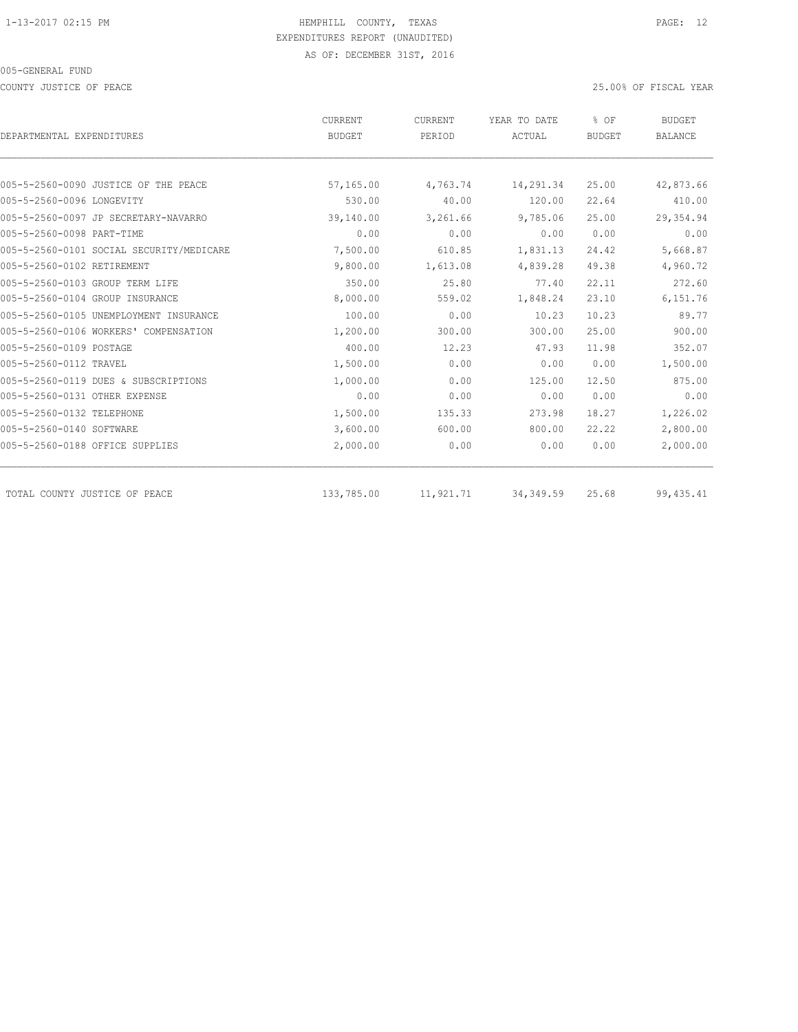COUNTY JUSTICE OF PEACE 25.00% OF FISCAL YEAR

| DEPARTMENTAL EXPENDITURES                | <b>CURRENT</b> | CURRENT   | YEAR TO DATE | % OF<br><b>BUDGET</b> | <b>BUDGET</b><br><b>BALANCE</b> |
|------------------------------------------|----------------|-----------|--------------|-----------------------|---------------------------------|
|                                          | <b>BUDGET</b>  | PERIOD    | ACTUAL       |                       |                                 |
|                                          |                |           |              |                       |                                 |
| 005-5-2560-0090 JUSTICE OF THE PEACE     | 57,165.00      | 4,763.74  | 14,291.34    | 25.00                 | 42,873.66                       |
| 005-5-2560-0096 LONGEVITY                | 530.00         | 40.00     | 120.00       | 22.64                 | 410.00                          |
| 005-5-2560-0097 JP SECRETARY-NAVARRO     | 39,140.00      | 3,261.66  | 9,785.06     | 25.00                 | 29,354.94                       |
| 005-5-2560-0098 PART-TIME                | 0.00           | 0.00      | 0.00         | 0.00                  | 0.00                            |
| 005-5-2560-0101 SOCIAL SECURITY/MEDICARE | 7,500.00       | 610.85    | 1,831.13     | 24.42                 | 5,668.87                        |
| 005-5-2560-0102 RETIREMENT               | 9,800.00       | 1,613.08  | 4,839.28     | 49.38                 | 4,960.72                        |
| 005-5-2560-0103 GROUP TERM LIFE          | 350.00         | 25.80     | 77.40        | 22.11                 | 272.60                          |
| 005-5-2560-0104 GROUP INSURANCE          | 8,000.00       | 559.02    | 1,848.24     | 23.10                 | 6,151.76                        |
| 005-5-2560-0105 UNEMPLOYMENT INSURANCE   | 100.00         | 0.00      | 10.23        | 10.23                 | 89.77                           |
| 005-5-2560-0106 WORKERS' COMPENSATION    | 1,200.00       | 300.00    | 300.00       | 25.00                 | 900.00                          |
| 005-5-2560-0109 POSTAGE                  | 400.00         | 12.23     | 47.93        | 11.98                 | 352.07                          |
| 005-5-2560-0112 TRAVEL                   | 1,500.00       | 0.00      | 0.00         | 0.00                  | 1,500.00                        |
| 005-5-2560-0119 DUES & SUBSCRIPTIONS     | 1,000.00       | 0.00      | 125.00       | 12.50                 | 875.00                          |
| 005-5-2560-0131 OTHER EXPENSE            | 0.00           | 0.00      | 0.00         | 0.00                  | 0.00                            |
| 005-5-2560-0132 TELEPHONE                | 1,500.00       | 135.33    | 273.98       | 18.27                 | 1,226.02                        |
| 005-5-2560-0140 SOFTWARE                 | 3,600.00       | 600.00    | 800.00       | 22.22                 | 2,800.00                        |
| 005-5-2560-0188 OFFICE SUPPLIES          | 2,000.00       | 0.00      | 0.00         | 0.00                  | 2,000.00                        |
| TOTAL COUNTY JUSTICE OF PEACE            | 133,785.00     | 11,921.71 | 34, 349.59   | 25.68                 | 99, 435.41                      |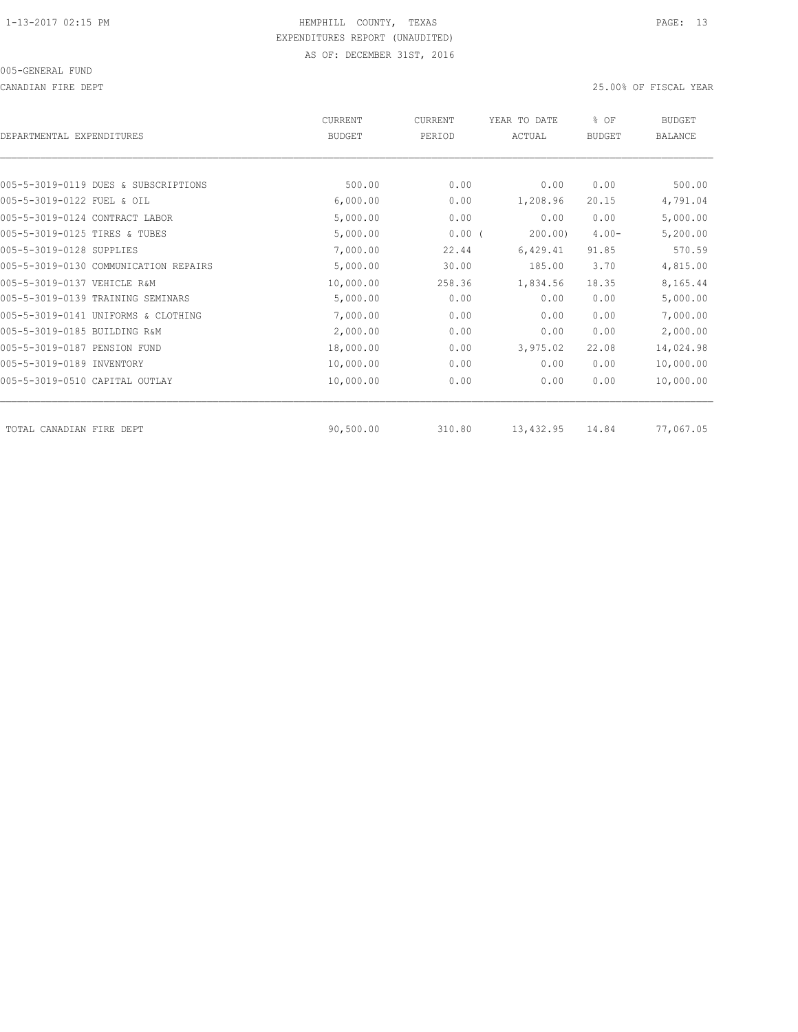CANADIAN FIRE DEPT 25.00% OF FISCAL YEAR

| DEPARTMENTAL EXPENDITURES         |                                       | <b>CURRENT</b><br><b>BUDGET</b> | CURRENT<br>PERIOD | YEAR TO DATE<br>ACTUAL | % OF<br><b>BUDGET</b> | <b>BUDGET</b><br><b>BALANCE</b> |
|-----------------------------------|---------------------------------------|---------------------------------|-------------------|------------------------|-----------------------|---------------------------------|
|                                   |                                       |                                 |                   |                        |                       |                                 |
|                                   | 005-5-3019-0119 DUES & SUBSCRIPTIONS  | 500.00                          | 0.00              | 0.00                   | 0.00                  | 500.00                          |
| 005-5-3019-0122 FUEL & OIL        |                                       | 6,000.00                        | 0.00              | 1,208.96               | 20.15                 | 4,791.04                        |
| 005-5-3019-0124 CONTRACT LABOR    |                                       | 5,000.00                        | 0.00              | 0.00                   | 0.00                  | 5,000.00                        |
| 005-5-3019-0125 TIRES & TUBES     |                                       | 5,000.00                        | 0.00(             | 200.00                 | $4.00 -$              | 5,200.00                        |
| 005-5-3019-0128 SUPPLIES          |                                       | 7,000.00                        | 22.44             | 6,429.41               | 91.85                 | 570.59                          |
|                                   | 005-5-3019-0130 COMMUNICATION REPAIRS | 5,000.00                        | 30.00             | 185.00                 | 3.70                  | 4,815.00                        |
| 005-5-3019-0137 VEHICLE R&M       |                                       | 10,000.00                       | 258.36            | 1,834.56               | 18.35                 | 8,165.44                        |
| 005-5-3019-0139 TRAINING SEMINARS |                                       | 5,000.00                        | 0.00              | 0.00                   | 0.00                  | 5,000.00                        |
|                                   | 005-5-3019-0141 UNIFORMS & CLOTHING   | 7,000.00                        | 0.00              | 0.00                   | 0.00                  | 7,000.00                        |
| 005-5-3019-0185 BUILDING R&M      |                                       | 2,000.00                        | 0.00              | 0.00                   | 0.00                  | 2,000.00                        |
| 005-5-3019-0187 PENSION FUND      |                                       | 18,000.00                       | 0.00              | 3,975.02               | 22.08                 | 14,024.98                       |
| 005-5-3019-0189 INVENTORY         |                                       | 10,000.00                       | 0.00              | 0.00                   | 0.00                  | 10,000.00                       |
| 005-5-3019-0510 CAPITAL OUTLAY    |                                       | 10,000.00                       | 0.00              | 0.00                   | 0.00                  | 10,000.00                       |
| TOTAL CANADIAN FIRE DEPT          |                                       | 90,500.00                       | 310.80            | 13,432.95              | 14.84                 | 77,067.05                       |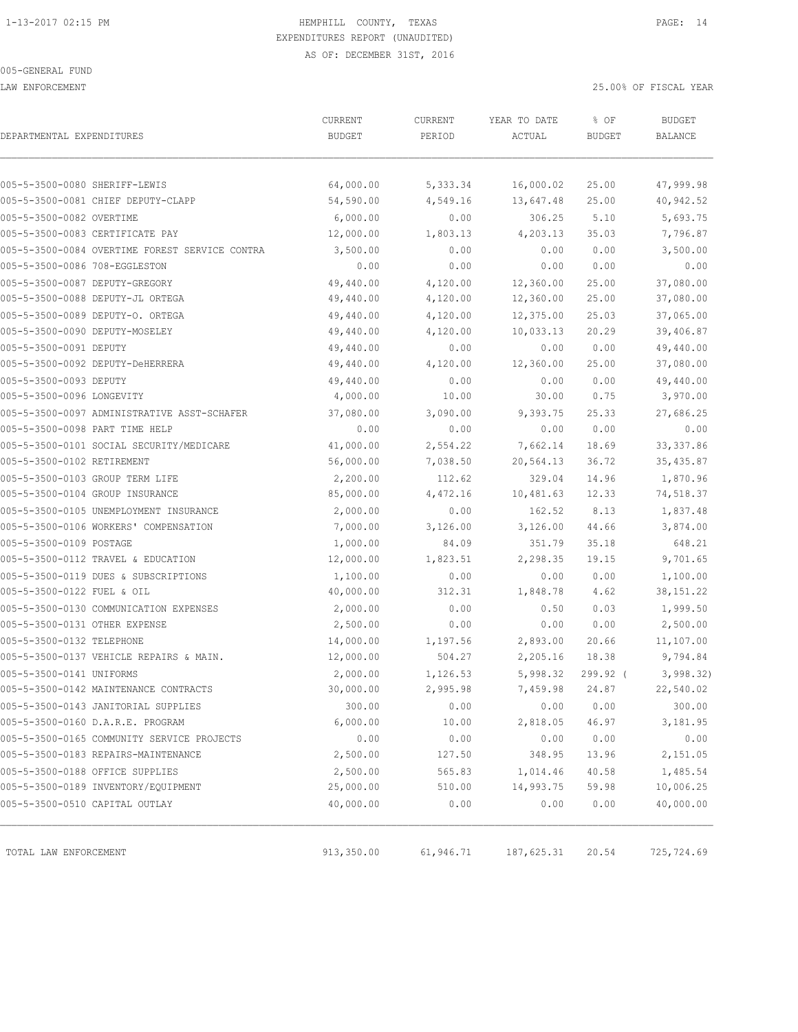LAW ENFORCEMENT 25.00% OF FISCAL YEAR

| DEPARTMENTAL EXPENDITURES                      | CURRENT<br><b>BUDGET</b> | CURRENT<br>PERIOD | YEAR TO DATE<br>ACTUAL | % OF<br><b>BUDGET</b> | <b>BUDGET</b><br><b>BALANCE</b> |
|------------------------------------------------|--------------------------|-------------------|------------------------|-----------------------|---------------------------------|
|                                                |                          |                   |                        |                       |                                 |
| 005-5-3500-0080 SHERIFF-LEWIS                  | 64,000.00                | 5,333.34          | 16,000.02              | 25.00                 | 47,999.98                       |
| 005-5-3500-0081 CHIEF DEPUTY-CLAPP             | 54,590.00                | 4,549.16          | 13,647.48              | 25.00                 | 40,942.52                       |
| 005-5-3500-0082 OVERTIME                       | 6,000.00                 | 0.00              | 306.25                 | 5.10                  | 5,693.75                        |
| 005-5-3500-0083 CERTIFICATE PAY                | 12,000.00                | 1,803.13          | 4,203.13               | 35.03                 | 7,796.87                        |
| 005-5-3500-0084 OVERTIME FOREST SERVICE CONTRA | 3,500.00                 | 0.00              | 0.00                   | 0.00                  | 3,500.00                        |
| 005-5-3500-0086 708-EGGLESTON                  | 0.00                     | 0.00              | 0.00                   | 0.00                  | 0.00                            |
| 005-5-3500-0087 DEPUTY-GREGORY                 | 49,440.00                | 4,120.00          | 12,360.00              | 25.00                 | 37,080.00                       |
| 005-5-3500-0088 DEPUTY-JL ORTEGA               | 49,440.00                | 4,120.00          | 12,360.00              | 25.00                 | 37,080.00                       |
| 005-5-3500-0089 DEPUTY-O. ORTEGA               | 49,440.00                | 4,120.00          | 12,375.00              | 25.03                 | 37,065.00                       |
| 005-5-3500-0090 DEPUTY-MOSELEY                 | 49,440.00                | 4,120.00          | 10,033.13              | 20.29                 | 39,406.87                       |
| 005-5-3500-0091 DEPUTY                         | 49,440.00                | 0.00              | 0.00                   | 0.00                  | 49,440.00                       |
| 005-5-3500-0092 DEPUTY-DeHERRERA               | 49,440.00                | 4,120.00          | 12,360.00              | 25.00                 | 37,080.00                       |
| 005-5-3500-0093 DEPUTY                         | 49,440.00                | 0.00              | 0.00                   | 0.00                  | 49,440.00                       |
| 005-5-3500-0096 LONGEVITY                      | 4,000.00                 | 10.00             | 30.00                  | 0.75                  | 3,970.00                        |
| 005-5-3500-0097 ADMINISTRATIVE ASST-SCHAFER    | 37,080.00                | 3,090.00          | 9,393.75               | 25.33                 | 27,686.25                       |
| 005-5-3500-0098 PART TIME HELP                 | 0.00                     | 0.00              | 0.00                   | 0.00                  | 0.00                            |
| 005-5-3500-0101 SOCIAL SECURITY/MEDICARE       | 41,000.00                | 2,554.22          | 7,662.14               | 18.69                 | 33, 337.86                      |
| 005-5-3500-0102 RETIREMENT                     | 56,000.00                | 7,038.50          | 20,564.13              | 36.72                 | 35, 435.87                      |
| 005-5-3500-0103 GROUP TERM LIFE                | 2,200.00                 | 112.62            | 329.04                 | 14.96                 | 1,870.96                        |
| 005-5-3500-0104 GROUP INSURANCE                | 85,000.00                | 4,472.16          | 10,481.63              | 12.33                 | 74,518.37                       |
| 005-5-3500-0105 UNEMPLOYMENT INSURANCE         | 2,000.00                 | 0.00              | 162.52                 | 8.13                  | 1,837.48                        |
| 005-5-3500-0106 WORKERS' COMPENSATION          | 7,000.00                 | 3,126.00          | 3,126.00               | 44.66                 | 3,874.00                        |
| 005-5-3500-0109 POSTAGE                        | 1,000.00                 | 84.09             | 351.79                 | 35.18                 | 648.21                          |
| 005-5-3500-0112 TRAVEL & EDUCATION             | 12,000.00                | 1,823.51          | 2,298.35               | 19.15                 | 9,701.65                        |
| 005-5-3500-0119 DUES & SUBSCRIPTIONS           | 1,100.00                 | 0.00              | 0.00                   | 0.00                  | 1,100.00                        |
| 005-5-3500-0122 FUEL & OIL                     | 40,000.00                | 312.31            | 1,848.78               | 4.62                  | 38, 151.22                      |
| 005-5-3500-0130 COMMUNICATION EXPENSES         | 2,000.00                 | 0.00              | 0.50                   | 0.03                  | 1,999.50                        |
| 005-5-3500-0131 OTHER EXPENSE                  | 2,500.00                 | 0.00              | 0.00                   | 0.00                  | 2,500.00                        |
| 005-5-3500-0132 TELEPHONE                      | 14,000.00                | 1,197.56          | 2,893.00               | 20.66                 | 11,107.00                       |
| 005-5-3500-0137 VEHICLE REPAIRS & MAIN.        | 12,000.00                | 504.27            | 2,205.16               | 18.38                 | 9,794.84                        |
| 005-5-3500-0141 UNIFORMS                       | 2,000.00                 | 1,126.53          | 5,998.32               | $299.92$ (            | 3,998.32)                       |
| 005-5-3500-0142 MAINTENANCE CONTRACTS          | 30,000.00                | 2,995.98          | 7,459.98               | 24.87                 | 22,540.02                       |
| 005-5-3500-0143 JANITORIAL SUPPLIES            | 300.00                   | 0.00              | 0.00                   | 0.00                  | 300.00                          |
| 005-5-3500-0160 D.A.R.E. PROGRAM               | 6,000.00                 | 10.00             | 2,818.05               | 46.97                 | 3,181.95                        |
| 005-5-3500-0165 COMMUNITY SERVICE PROJECTS     | 0.00                     | 0.00              | 0.00                   | 0.00                  | 0.00                            |
| 005-5-3500-0183 REPAIRS-MAINTENANCE            | 2,500.00                 | 127.50            | 348.95                 | 13.96                 | 2,151.05                        |
| 005-5-3500-0188 OFFICE SUPPLIES                | 2,500.00                 | 565.83            | 1,014.46               | 40.58                 | 1,485.54                        |
| 005-5-3500-0189 INVENTORY/EQUIPMENT            | 25,000.00                | 510.00            | 14,993.75              | 59.98                 | 10,006.25                       |
| 005-5-3500-0510 CAPITAL OUTLAY                 | 40,000.00                | 0.00              | 0.00                   | 0.00                  | 40,000.00                       |
| TOTAL LAW ENFORCEMENT                          | 913,350.00               | 61,946.71         | 187,625.31             | 20.54                 | 725,724.69                      |
|                                                |                          |                   |                        |                       |                                 |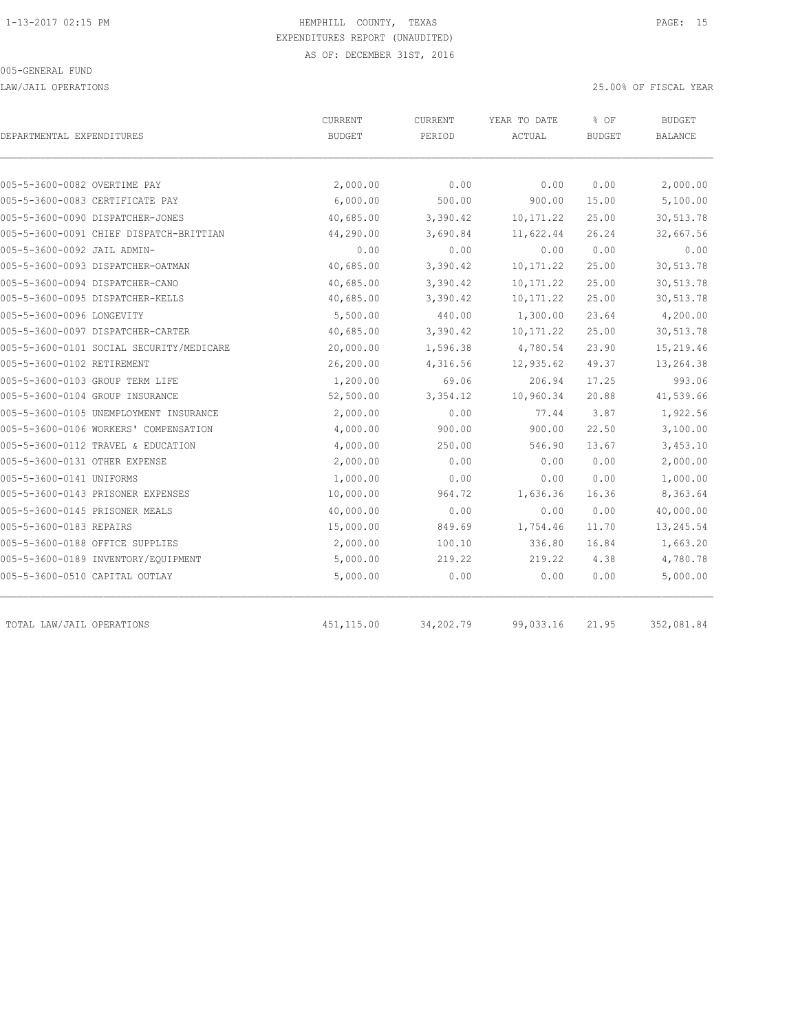LAW/JAIL OPERATIONS 25.00% OF FISCAL YEAR

|                                          | CURRENT<br>CURRENT |           | YEAR TO DATE | % OF          | <b>BUDGET</b> |  |
|------------------------------------------|--------------------|-----------|--------------|---------------|---------------|--|
| DEPARTMENTAL EXPENDITURES                | <b>BUDGET</b>      | PERIOD    | ACTUAL       | <b>BUDGET</b> | BALANCE       |  |
| 005-5-3600-0082 OVERTIME PAY             | 2,000.00           | 0.00      | 0.00         | 0.00          | 2,000.00      |  |
| 005-5-3600-0083 CERTIFICATE PAY          | 6,000.00           | 500.00    | 900.00       | 15.00         | 5,100.00      |  |
| 005-5-3600-0090 DISPATCHER-JONES         | 40,685.00          | 3,390.42  | 10, 171.22   | 25.00         | 30,513.78     |  |
| 005-5-3600-0091 CHIEF DISPATCH-BRITTIAN  | 44,290.00          | 3,690.84  | 11,622.44    | 26.24         | 32,667.56     |  |
| 005-5-3600-0092 JAIL ADMIN-              | 0.00               | 0.00      | 0.00         | 0.00          | 0.00          |  |
| 005-5-3600-0093 DISPATCHER-OATMAN        | 40,685.00          | 3,390.42  | 10, 171.22   | 25.00         | 30,513.78     |  |
| 005-5-3600-0094 DISPATCHER-CANO          | 40,685.00          | 3,390.42  | 10, 171.22   | 25.00         | 30,513.78     |  |
| 005-5-3600-0095 DISPATCHER-KELLS         | 40,685.00          | 3,390.42  | 10, 171.22   | 25.00         | 30,513.78     |  |
| 005-5-3600-0096 LONGEVITY                | 5,500.00           | 440.00    | 1,300.00     | 23.64         | 4,200.00      |  |
| 005-5-3600-0097 DISPATCHER-CARTER        | 40,685.00          | 3,390.42  | 10, 171.22   | 25.00         | 30,513.78     |  |
| 005-5-3600-0101 SOCIAL SECURITY/MEDICARE | 20,000.00          | 1,596.38  | 4,780.54     | 23.90         | 15,219.46     |  |
| 005-5-3600-0102 RETIREMENT               | 26,200.00          | 4,316.56  | 12,935.62    | 49.37         | 13,264.38     |  |
| 005-5-3600-0103 GROUP TERM LIFE          | 1,200.00           | 69.06     | 206.94       | 17.25         | 993.06        |  |
| 005-5-3600-0104 GROUP INSURANCE          | 52,500.00          | 3,354.12  | 10,960.34    | 20.88         | 41,539.66     |  |
| 005-5-3600-0105 UNEMPLOYMENT INSURANCE   | 2,000.00           | 0.00      | 77.44        | 3.87          | 1,922.56      |  |
| 005-5-3600-0106 WORKERS' COMPENSATION    | 4,000.00           | 900.00    | 900.00       | 22.50         | 3,100.00      |  |
| 005-5-3600-0112 TRAVEL & EDUCATION       | 4,000.00           | 250.00    | 546.90       | 13.67         | 3,453.10      |  |
| 005-5-3600-0131 OTHER EXPENSE            | 2,000.00           | 0.00      | 0.00         | 0.00          | 2,000.00      |  |
| 005-5-3600-0141 UNIFORMS                 | 1,000.00           | 0.00      | 0.00         | 0.00          | 1,000.00      |  |
| 005-5-3600-0143 PRISONER EXPENSES        | 10,000.00          | 964.72    | 1,636.36     | 16.36         | 8,363.64      |  |
| 005-5-3600-0145 PRISONER MEALS           | 40,000.00          | 0.00      | 0.00         | 0.00          | 40,000.00     |  |
| 005-5-3600-0183 REPAIRS                  | 15,000.00          | 849.69    | 1,754.46     | 11.70         | 13,245.54     |  |
| 005-5-3600-0188 OFFICE SUPPLIES          | 2,000.00           | 100.10    | 336.80       | 16.84         | 1,663.20      |  |
| 005-5-3600-0189 INVENTORY/EQUIPMENT      | 5,000.00           | 219.22    | 219.22       | 4.38          | 4,780.78      |  |
| 005-5-3600-0510 CAPITAL OUTLAY           | 5,000.00           | 0.00      | 0.00         | 0.00          | 5,000.00      |  |
| TOTAL LAW/JAIL OPERATIONS                | 451, 115.00        | 34,202.79 | 99,033.16    | 21.95         | 352,081.84    |  |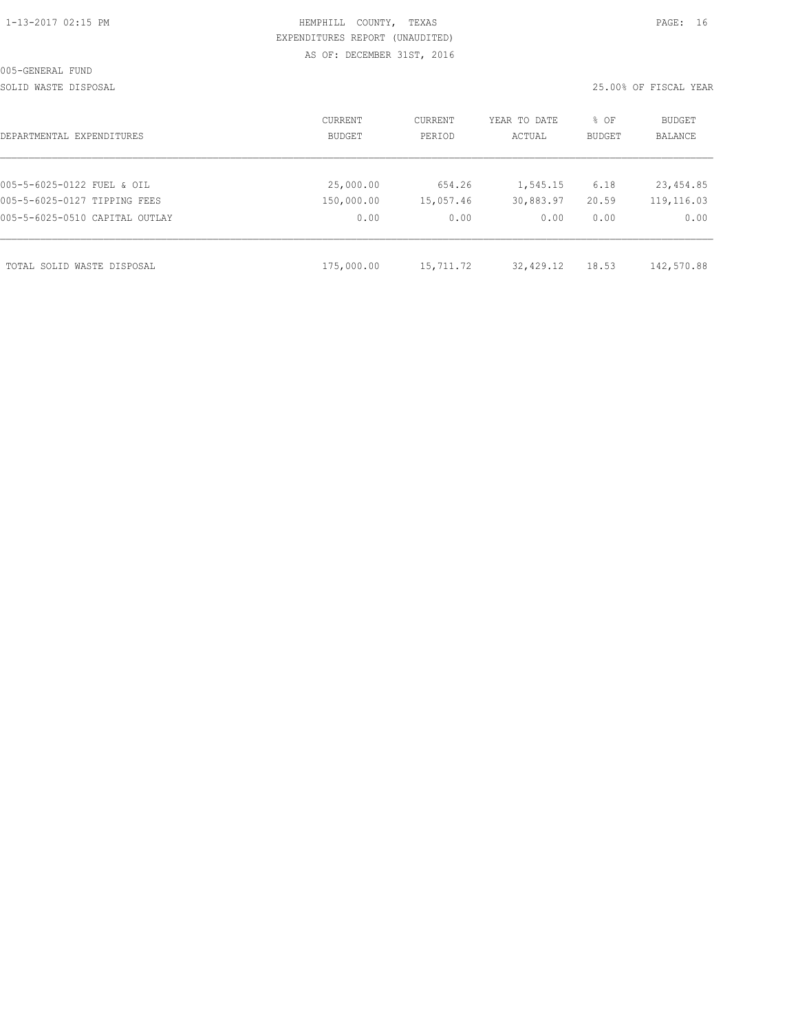| 1-13-2017 02:15 PM |  |
|--------------------|--|

# HEMPHILL COUNTY, TEXAS **PAGE:** 16 EXPENDITURES REPORT (UNAUDITED) AS OF: DECEMBER 31ST, 2016

SOLID WASTE DISPOSAL 25.00% OF FISCAL YEAR

| DEPARTMENTAL EXPENDITURES      | CURRENT<br>BUDGET | CURRENT<br>PERIOD | YEAR TO DATE<br>ACTUAL | % OF<br><b>BUDGET</b> | BUDGET<br><b>BALANCE</b> |
|--------------------------------|-------------------|-------------------|------------------------|-----------------------|--------------------------|
|                                |                   |                   |                        |                       |                          |
| 005-5-6025-0122 FUEL & OIL     | 25,000.00         | 654.26            | 1,545.15               | 6.18                  | 23,454.85                |
| 005-5-6025-0127 TIPPING FEES   | 150,000.00        | 15,057.46         | 30,883.97              | 20.59                 | 119,116.03               |
| 005-5-6025-0510 CAPITAL OUTLAY | 0.00              | 0.00              | 0.00                   | 0.00                  | 0.00                     |
| TOTAL SOLID WASTE DISPOSAL     | 175,000.00        | 15,711.72         | 32,429.12              | 18.53                 | 142,570.88               |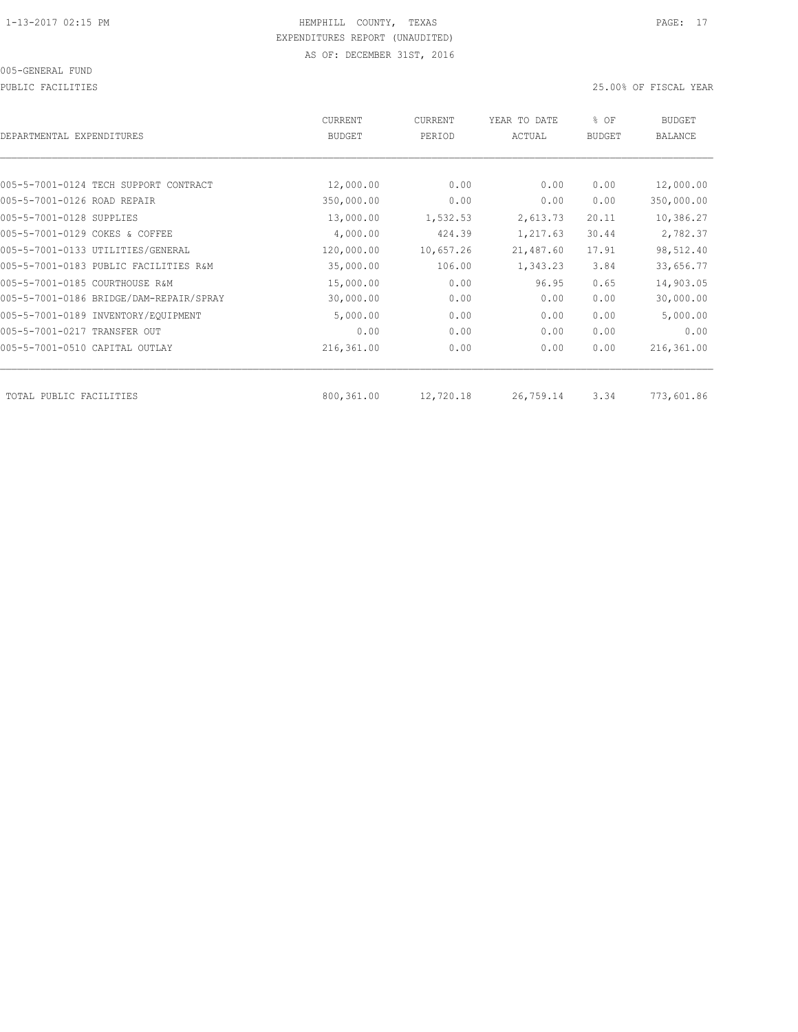PUBLIC FACILITIES 25.00% OF FISCAL YEAR

| DEPARTMENTAL EXPENDITURES               | <b>CURRENT</b><br><b>BUDGET</b> | CURRENT<br>PERIOD | YEAR TO DATE<br>ACTUAL | % OF<br><b>BUDGET</b> | BUDGET<br><b>BALANCE</b> |
|-----------------------------------------|---------------------------------|-------------------|------------------------|-----------------------|--------------------------|
|                                         |                                 |                   |                        |                       |                          |
| 005-5-7001-0124 TECH SUPPORT CONTRACT   | 12,000.00                       | 0.00              | 0.00                   | 0.00                  | 12,000.00                |
| 005-5-7001-0126 ROAD REPAIR             | 350,000.00                      | 0.00              | 0.00                   | 0.00                  | 350,000.00               |
| 005-5-7001-0128 SUPPLIES                | 13,000.00                       | 1,532.53          | 2,613.73               | 20.11                 | 10,386.27                |
| 005-5-7001-0129 COKES & COFFEE          | 4,000.00                        | 424.39            | 1,217.63               | 30.44                 | 2,782.37                 |
| 005-5-7001-0133 UTILITIES/GENERAL       | 120,000.00                      | 10,657.26         | 21,487.60              | 17.91                 | 98,512.40                |
| 005-5-7001-0183 PUBLIC FACILITIES R&M   | 35,000.00                       | 106.00            | 1,343.23               | 3.84                  | 33,656.77                |
| 005-5-7001-0185 COURTHOUSE R&M          | 15,000.00                       | 0.00              | 96.95                  | 0.65                  | 14,903.05                |
| 005-5-7001-0186 BRIDGE/DAM-REPAIR/SPRAY | 30,000.00                       | 0.00              | 0.00                   | 0.00                  | 30,000.00                |
| 005-5-7001-0189 INVENTORY/EQUIPMENT     | 5,000.00                        | 0.00              | 0.00                   | 0.00                  | 5,000.00                 |
| 005-5-7001-0217 TRANSFER OUT            | 0.00                            | 0.00              | 0.00                   | 0.00                  | 0.00                     |
| 005-5-7001-0510 CAPITAL OUTLAY          | 216,361.00                      | 0.00              | 0.00                   | 0.00                  | 216,361.00               |
| TOTAL PUBLIC FACILITIES                 | 800,361.00                      | 12,720.18         | 26,759.14              | 3.34                  | 773,601.86               |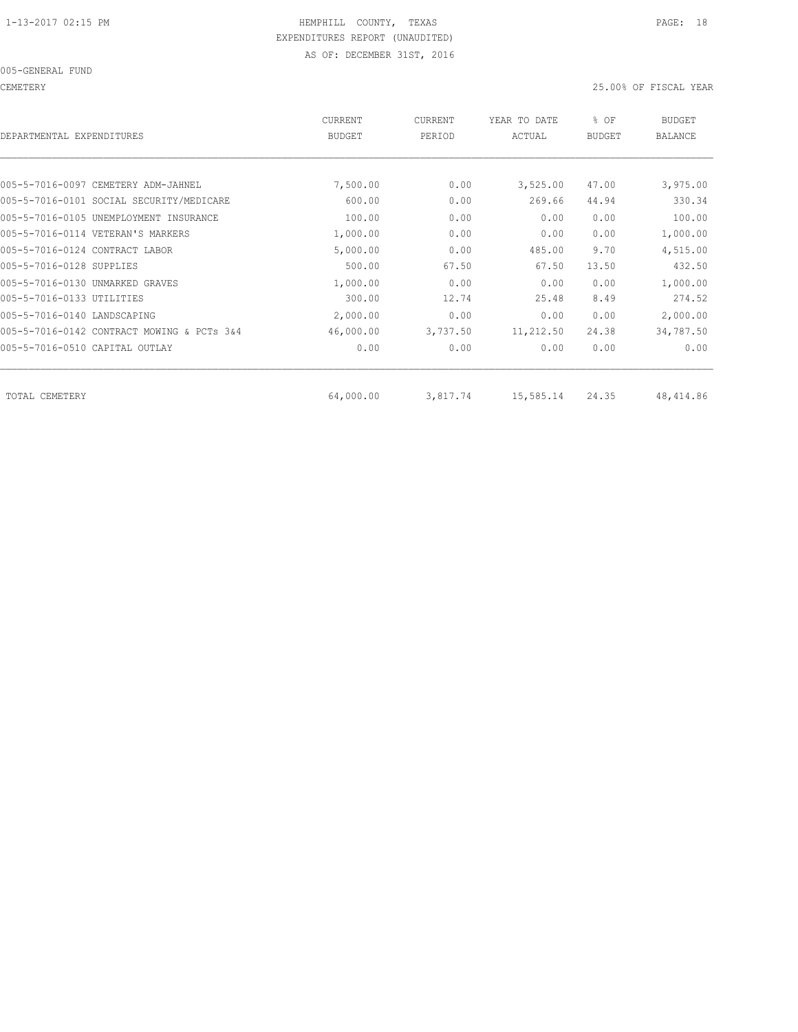CEMETERY 25.00% OF FISCAL YEAR

| DEPARTMENTAL EXPENDITURES                  | <b>CURRENT</b><br><b>BUDGET</b> | CURRENT<br>PERIOD | YEAR TO DATE<br>ACTUAL | % OF<br><b>BUDGET</b> | <b>BUDGET</b><br>BALANCE |
|--------------------------------------------|---------------------------------|-------------------|------------------------|-----------------------|--------------------------|
|                                            |                                 |                   |                        |                       |                          |
| 005-5-7016-0097 CEMETERY ADM-JAHNEL        | 7,500.00                        | 0.00              | 3,525.00               | 47.00                 | 3,975.00                 |
| 005-5-7016-0101 SOCIAL SECURITY/MEDICARE   | 600.00                          | 0.00              | 269.66                 | 44.94                 | 330.34                   |
| 005-5-7016-0105 UNEMPLOYMENT INSURANCE     | 100.00                          | 0.00              | 0.00                   | 0.00                  | 100.00                   |
| 005-5-7016-0114 VETERAN'S MARKERS          | 1,000.00                        | 0.00              | 0.00                   | 0.00                  | 1,000.00                 |
| 005-5-7016-0124 CONTRACT LABOR             | 5,000.00                        | 0.00              | 485.00                 | 9.70                  | 4,515.00                 |
| 005-5-7016-0128 SUPPLIES                   | 500.00                          | 67.50             | 67.50                  | 13.50                 | 432.50                   |
| 005-5-7016-0130 UNMARKED GRAVES            | 1,000.00                        | 0.00              | 0.00                   | 0.00                  | 1,000.00                 |
| 005-5-7016-0133 UTILITIES                  | 300.00                          | 12.74             | 25.48                  | 8.49                  | 274.52                   |
| 005-5-7016-0140 LANDSCAPING                | 2,000.00                        | 0.00              | 0.00                   | 0.00                  | 2,000.00                 |
| 005-5-7016-0142 CONTRACT MOWING & PCTs 3&4 | 46,000.00                       | 3,737.50          | 11,212.50              | 24.38                 | 34,787.50                |
| 005-5-7016-0510 CAPITAL OUTLAY             | 0.00                            | 0.00              | 0.00                   | 0.00                  | 0.00                     |
| TOTAL CEMETERY                             | 64,000.00                       | 3,817.74          | 15,585.14              | 24.35                 | 48, 414.86               |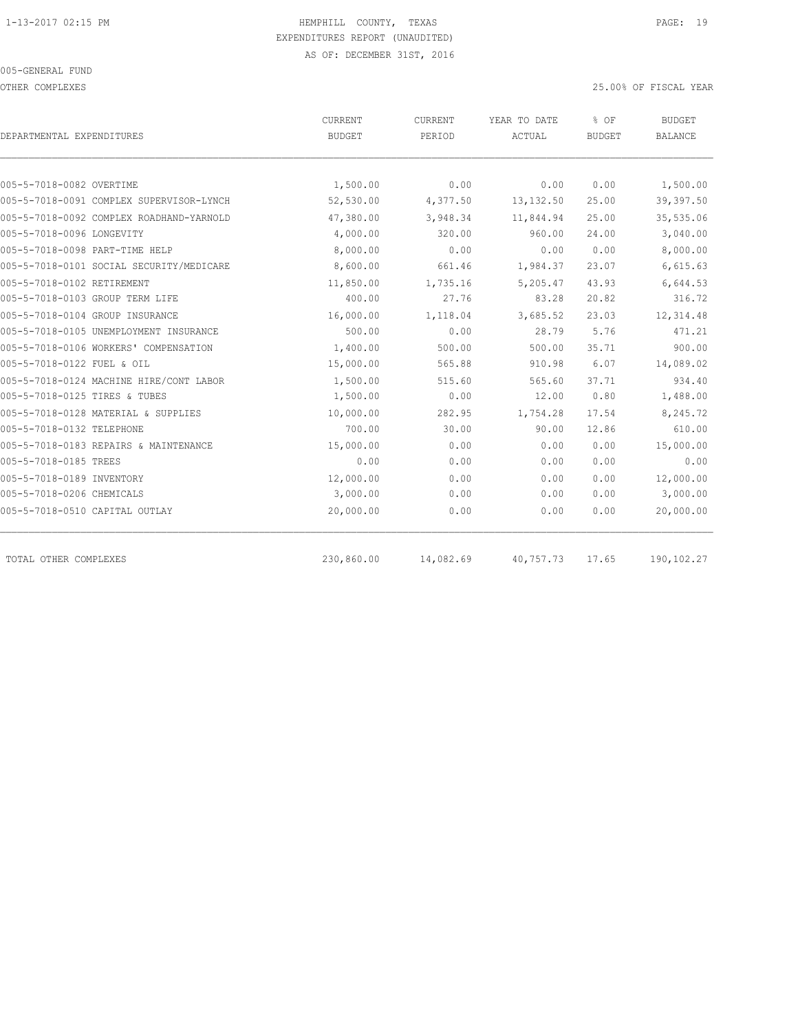OTHER COMPLEXES 25.00% OF FISCAL YEAR

| <b>BUDGET</b><br>1,500.00<br>52,530.00<br>47,380.00<br>4,000.00 | PERIOD<br>0.00<br>4,377.50<br>3,948.34<br>320.00                                                                                                                  | ACTUAL<br>0.00<br>13, 132.50<br>11,844.94<br>960.00 | <b>BUDGET</b><br>0.00<br>25.00<br>25.00<br>24.00 | <b>BALANCE</b><br>1,500.00<br>39, 397.50<br>35,535.06 |
|-----------------------------------------------------------------|-------------------------------------------------------------------------------------------------------------------------------------------------------------------|-----------------------------------------------------|--------------------------------------------------|-------------------------------------------------------|
|                                                                 |                                                                                                                                                                   |                                                     |                                                  |                                                       |
|                                                                 |                                                                                                                                                                   |                                                     |                                                  |                                                       |
|                                                                 |                                                                                                                                                                   |                                                     |                                                  |                                                       |
|                                                                 |                                                                                                                                                                   |                                                     |                                                  |                                                       |
|                                                                 |                                                                                                                                                                   |                                                     |                                                  |                                                       |
|                                                                 |                                                                                                                                                                   |                                                     |                                                  | 3,040.00                                              |
|                                                                 |                                                                                                                                                                   | 0.00                                                | 0.00                                             | 8,000.00                                              |
|                                                                 | 661.46                                                                                                                                                            | 1,984.37                                            | 23.07                                            | 6,615.63                                              |
|                                                                 | 1,735.16                                                                                                                                                          | 5,205.47                                            | 43.93                                            | 6,644.53                                              |
| 400.00                                                          | 27.76                                                                                                                                                             | 83.28                                               | 20.82                                            | 316.72                                                |
|                                                                 | 1,118.04                                                                                                                                                          | 3,685.52                                            | 23.03                                            | 12, 314.48                                            |
| 500.00                                                          | 0.00                                                                                                                                                              | 28.79                                               | 5.76                                             | 471.21                                                |
|                                                                 | 500.00                                                                                                                                                            | 500.00                                              | 35.71                                            | 900.00                                                |
|                                                                 | 565.88                                                                                                                                                            | 910.98                                              | 6.07                                             | 14,089.02                                             |
|                                                                 | 515.60                                                                                                                                                            | 565.60                                              | 37.71                                            | 934.40                                                |
|                                                                 | 0.00                                                                                                                                                              | 12.00                                               | 0.80                                             | 1,488.00                                              |
|                                                                 | 282.95                                                                                                                                                            | 1,754.28                                            | 17.54                                            | 8,245.72                                              |
| 700.00                                                          | 30.00                                                                                                                                                             | 90.00                                               | 12.86                                            | 610.00                                                |
|                                                                 | 0.00                                                                                                                                                              | 0.00                                                | 0.00                                             | 15,000.00                                             |
| 0.00                                                            | 0.00                                                                                                                                                              | 0.00                                                | 0.00                                             | 0.00                                                  |
|                                                                 | 0.00                                                                                                                                                              | 0.00                                                | 0.00                                             | 12,000.00                                             |
|                                                                 | 0.00                                                                                                                                                              | 0.00                                                | 0.00                                             | 3,000.00                                              |
|                                                                 | 0.00                                                                                                                                                              | 0.00                                                | 0.00                                             | 20,000.00                                             |
|                                                                 |                                                                                                                                                                   |                                                     |                                                  | 190,102.27                                            |
|                                                                 | 8,600.00<br>11,850.00<br>16,000.00<br>1,400.00<br>15,000.00<br>1,500.00<br>1,500.00<br>10,000.00<br>15,000.00<br>12,000.00<br>3,000.00<br>20,000.00<br>230,860.00 | 8,000.00<br>0.00<br>14,082.69                       | 40,757.73                                        | 17.65                                                 |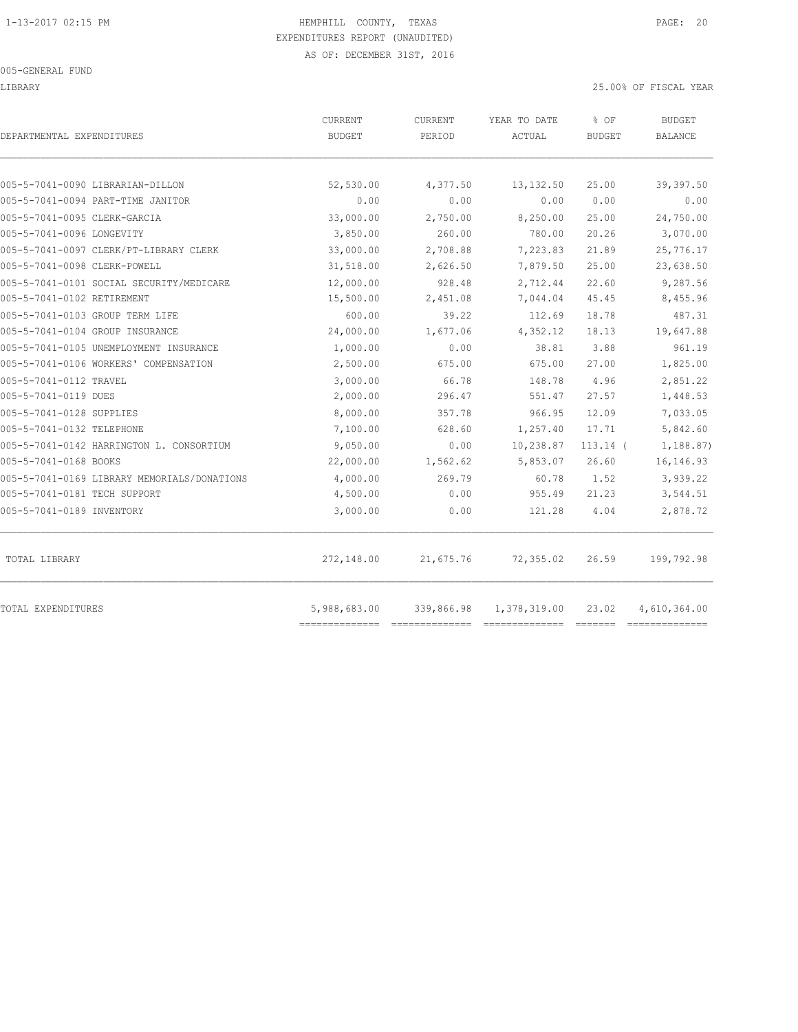LIBRARY 25.00% OF FISCAL YEAR

| DEPARTMENTAL EXPENDITURES                   | <b>CURRENT</b><br>BUDGET | <b>CURRENT</b><br>PERIOD | YEAR TO DATE<br>ACTUAL  | % OF<br><b>BUDGET</b> | BUDGET<br>BALANCE |
|---------------------------------------------|--------------------------|--------------------------|-------------------------|-----------------------|-------------------|
| 005-5-7041-0090 LIBRARIAN-DILLON            | 52,530.00                | 4,377.50                 | 13,132.50               | 25.00                 | 39,397.50         |
| 005-5-7041-0094 PART-TIME JANITOR           | 0.00                     | 0.00                     | 0.00                    | 0.00                  | 0.00              |
| 005-5-7041-0095 CLERK-GARCIA                | 33,000.00                | 2,750.00                 | 8,250.00                | 25.00                 | 24,750.00         |
| 005-5-7041-0096 LONGEVITY                   | 3,850.00                 | 260.00                   | 780.00                  | 20.26                 | 3,070.00          |
| 005-5-7041-0097 CLERK/PT-LIBRARY CLERK      | 33,000.00                | 2,708.88                 | 7,223.83                | 21.89                 | 25,776.17         |
| 005-5-7041-0098 CLERK-POWELL                | 31,518.00                | 2,626.50                 | 7,879.50                | 25.00                 | 23,638.50         |
| 005-5-7041-0101 SOCIAL SECURITY/MEDICARE    | 12,000.00                | 928.48                   | 2,712.44                | 22.60                 | 9,287.56          |
| 005-5-7041-0102 RETIREMENT                  | 15,500.00                | 2,451.08                 | 7,044.04                | 45.45                 | 8,455.96          |
| 005-5-7041-0103 GROUP TERM LIFE             | 600.00                   | 39.22                    | 112.69                  | 18.78                 | 487.31            |
| 005-5-7041-0104 GROUP INSURANCE             | 24,000.00                | 1,677.06                 | 4,352.12                | 18.13                 | 19,647.88         |
| 005-5-7041-0105 UNEMPLOYMENT INSURANCE      | 1,000.00                 | 0.00                     | 38.81                   | 3.88                  | 961.19            |
| 005-5-7041-0106 WORKERS' COMPENSATION       | 2,500.00                 | 675.00                   | 675.00                  | 27.00                 | 1,825.00          |
| 005-5-7041-0112 TRAVEL                      | 3,000.00                 | 66.78                    | 148.78                  | 4.96                  | 2,851.22          |
| 005-5-7041-0119 DUES                        | 2,000.00                 | 296.47                   | 551.47                  | 27.57                 | 1,448.53          |
| 005-5-7041-0128 SUPPLIES                    | 8,000.00                 | 357.78                   | 966.95                  | 12.09                 | 7,033.05          |
| 005-5-7041-0132 TELEPHONE                   | 7,100.00                 | 628.60                   | 1,257.40                | 17.71                 | 5,842.60          |
| 005-5-7041-0142 HARRINGTON L. CONSORTIUM    | 9,050.00                 | 0.00                     | 10,238.87               | $113.14$ (            | 1,188.87)         |
| 005-5-7041-0168 BOOKS                       | 22,000.00                | 1,562.62                 | 5,853.07                | 26.60                 | 16, 146. 93       |
| 005-5-7041-0169 LIBRARY MEMORIALS/DONATIONS | 4,000.00                 | 269.79                   | 60.78                   | 1.52                  | 3,939.22          |
| 005-5-7041-0181 TECH SUPPORT                | 4,500.00                 | 0.00                     | 955.49                  | 21.23                 | 3,544.51          |
| 005-5-7041-0189 INVENTORY                   | 3,000.00                 | 0.00                     | 121.28                  | 4.04                  | 2,878.72          |
| TOTAL LIBRARY                               | 272,148.00               | 21,675.76                | 72,355.02               | 26.59                 | 199,792.98        |
| TOTAL EXPENDITURES                          | 5,988,683.00             |                          | 339,866.98 1,378,319.00 | 23.02                 | 4,610,364.00      |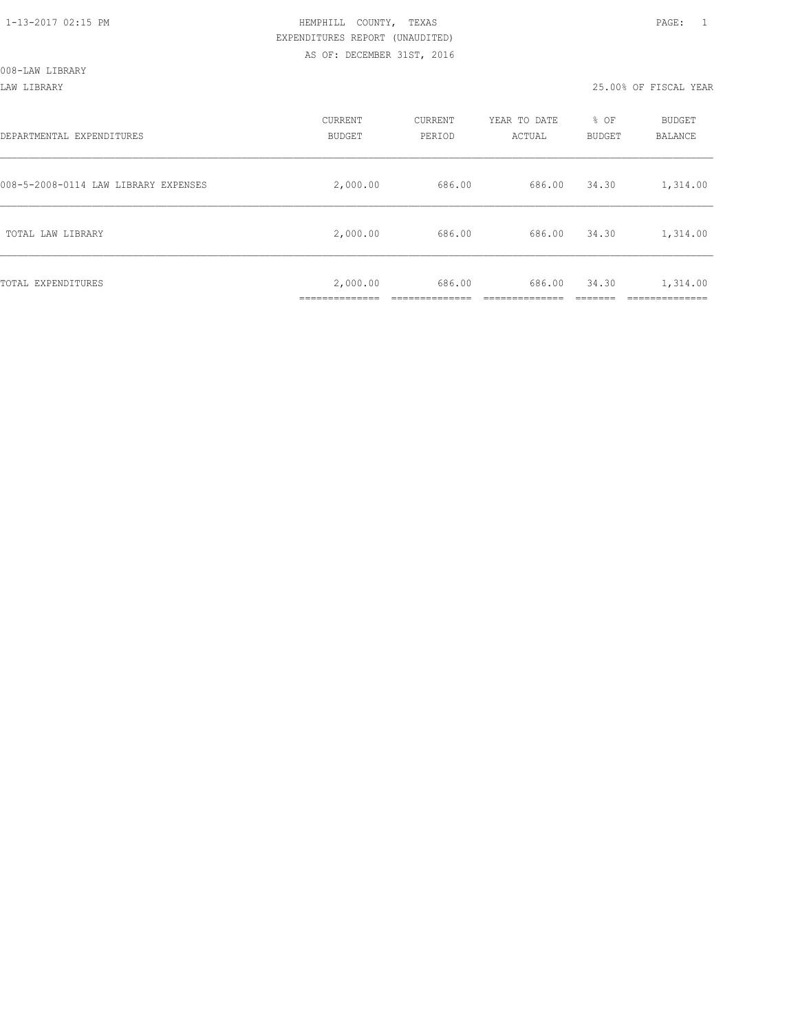LAW LIBRARY 25.00% OF FISCAL YEAR

| DEPARTMENTAL EXPENDITURES            | CURRENT<br><b>BUDGET</b>  | CURRENT<br>PERIOD | YEAR TO DATE<br>ACTUAL | % OF<br>BUDGET | BUDGET<br>BALANCE      |
|--------------------------------------|---------------------------|-------------------|------------------------|----------------|------------------------|
| 008-5-2008-0114 LAW LIBRARY EXPENSES | 2,000.00                  | 686.00            | 686.00                 | 34.30          | 1,314.00               |
| TOTAL LAW LIBRARY                    | 2,000.00                  | 686.00            | 686.00                 | 34.30          | 1,314.00               |
| TOTAL EXPENDITURES                   | 2,000.00<br>_____________ | 686.00            | 686.00                 | 34.30          | 1,314.00<br>__________ |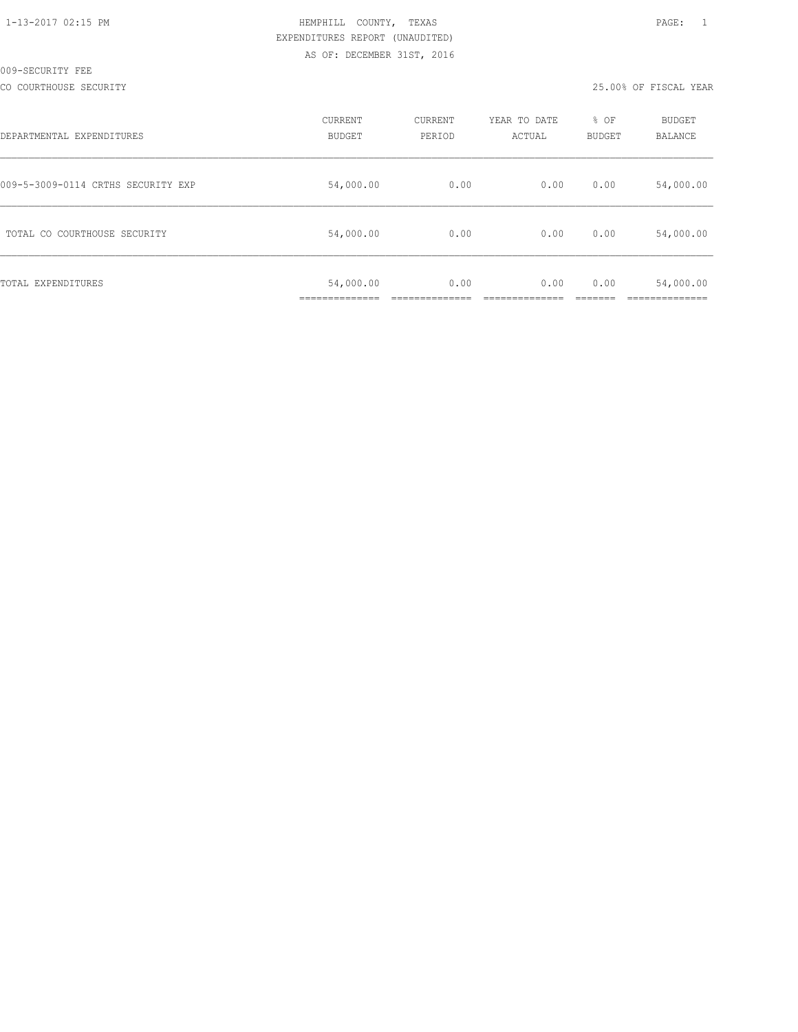| 1-13-2017 02:15 PM |  |
|--------------------|--|
|                    |  |

CO COURTHOUSE SECURITY 25.00% OF FISCAL YEAR

| DEPARTMENTAL EXPENDITURES          | CURRENT<br>BUDGET | CURRENT<br>PERIOD | YEAR TO DATE<br>ACTUAL | % OF<br><b>BUDGET</b> | BUDGET<br><b>BALANCE</b> |
|------------------------------------|-------------------|-------------------|------------------------|-----------------------|--------------------------|
| 009-5-3009-0114 CRTHS SECURITY EXP | 54,000.00         | 0.00              | 0.00                   | 0.00                  | 54,000.00                |
| TOTAL CO COURTHOUSE SECURITY       | 54,000.00         | 0.00              | 0.00                   | 0.00                  | 54,000.00                |
| TOTAL EXPENDITURES                 | 54,000.00         | 0.00              | 0.00                   | 0.00                  | 54,000.00                |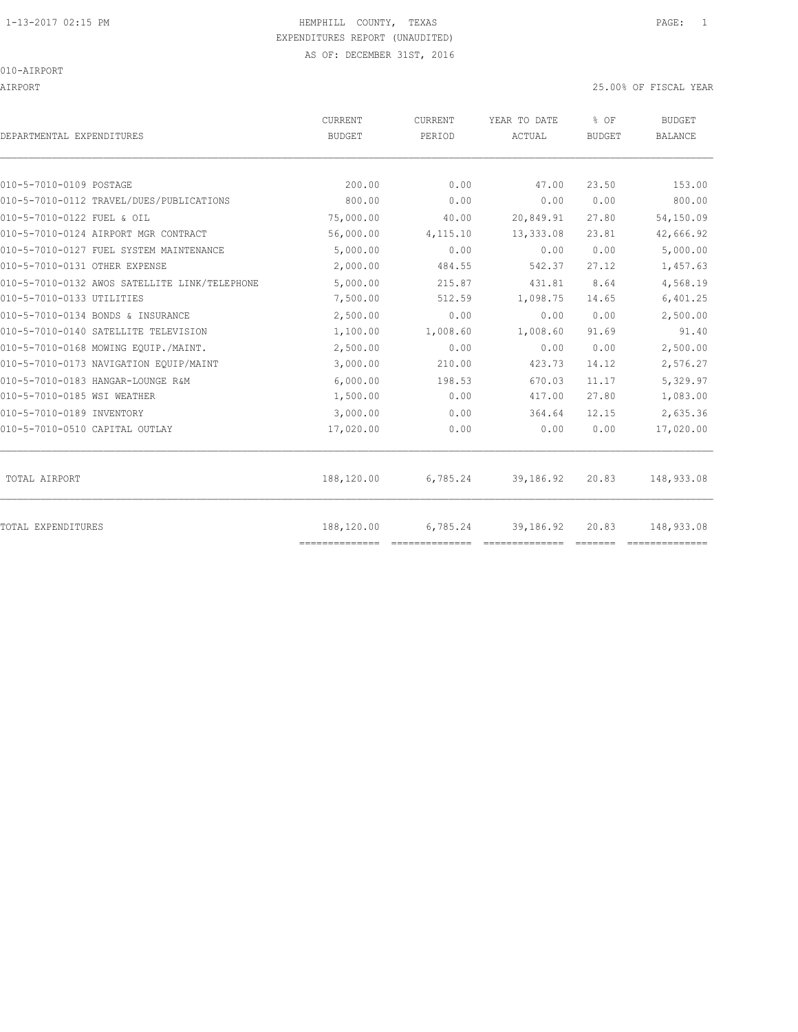AIRPORT 25.00% OF FISCAL YEAR

| DEPARTMENTAL EXPENDITURES                     | CURRENT<br><b>BUDGET</b>     | CURRENT<br>PERIOD | YEAR TO DATE<br>ACTUAL | % OF<br>BUDGET | <b>BUDGET</b><br><b>BALANCE</b> |
|-----------------------------------------------|------------------------------|-------------------|------------------------|----------------|---------------------------------|
| 010-5-7010-0109 POSTAGE                       | 200.00                       | 0.00              | 47.00                  | 23.50          | 153.00                          |
| 010-5-7010-0112 TRAVEL/DUES/PUBLICATIONS      | 800.00                       | 0.00              | 0.00                   | 0.00           | 800.00                          |
| 010-5-7010-0122 FUEL & OIL                    | 75,000.00                    | 40.00             | 20,849.91              | 27.80          | 54,150.09                       |
| 010-5-7010-0124 AIRPORT MGR CONTRACT          | 56,000.00                    | 4,115.10          | 13,333.08              | 23.81          | 42,666.92                       |
| 010-5-7010-0127 FUEL SYSTEM MAINTENANCE       | 5,000.00                     | 0.00              | 0.00                   | 0.00           | 5,000.00                        |
| 010-5-7010-0131 OTHER EXPENSE                 | 2,000.00                     | 484.55            | 542.37                 | 27.12          | 1,457.63                        |
| 010-5-7010-0132 AWOS SATELLITE LINK/TELEPHONE | 5,000.00                     | 215.87            | 431.81                 | 8.64           | 4,568.19                        |
| 010-5-7010-0133 UTILITIES                     | 7,500.00                     | 512.59            | 1,098.75               | 14.65          | 6,401.25                        |
| 010-5-7010-0134 BONDS & INSURANCE             | 2,500.00                     | 0.00              | 0.00                   | 0.00           | 2,500.00                        |
| 010-5-7010-0140 SATELLITE TELEVISION          | 1,100.00                     | 1,008.60          | 1,008.60               | 91.69          | 91.40                           |
| 010-5-7010-0168 MOWING EOUIP./MAINT.          | 2,500.00                     | 0.00              | 0.00                   | 0.00           | 2,500.00                        |
| 010-5-7010-0173 NAVIGATION EQUIP/MAINT        | 3,000.00                     | 210.00            | 423.73                 | 14.12          | 2,576.27                        |
| 010-5-7010-0183 HANGAR-LOUNGE R&M             | 6,000.00                     | 198.53            | 670.03                 | 11.17          | 5,329.97                        |
| 010-5-7010-0185 WSI WEATHER                   | 1,500.00                     | 0.00              | 417.00                 | 27.80          | 1,083.00                        |
| 010-5-7010-0189 INVENTORY                     | 3,000.00                     | 0.00              | 364.64                 | 12.15          | 2,635.36                        |
| 010-5-7010-0510 CAPITAL OUTLAY                | 17,020.00                    | 0.00              | 0.00                   | 0.00           | 17,020.00                       |
| TOTAL AIRPORT                                 | 188,120.00                   | 6,785.24          | 39,186.92              | 20.83          | 148,933.08                      |
| TOTAL EXPENDITURES                            | 188,120.00<br>-------------- | 6,785.24          | 39,186.92              | 20.83          | 148,933.08                      |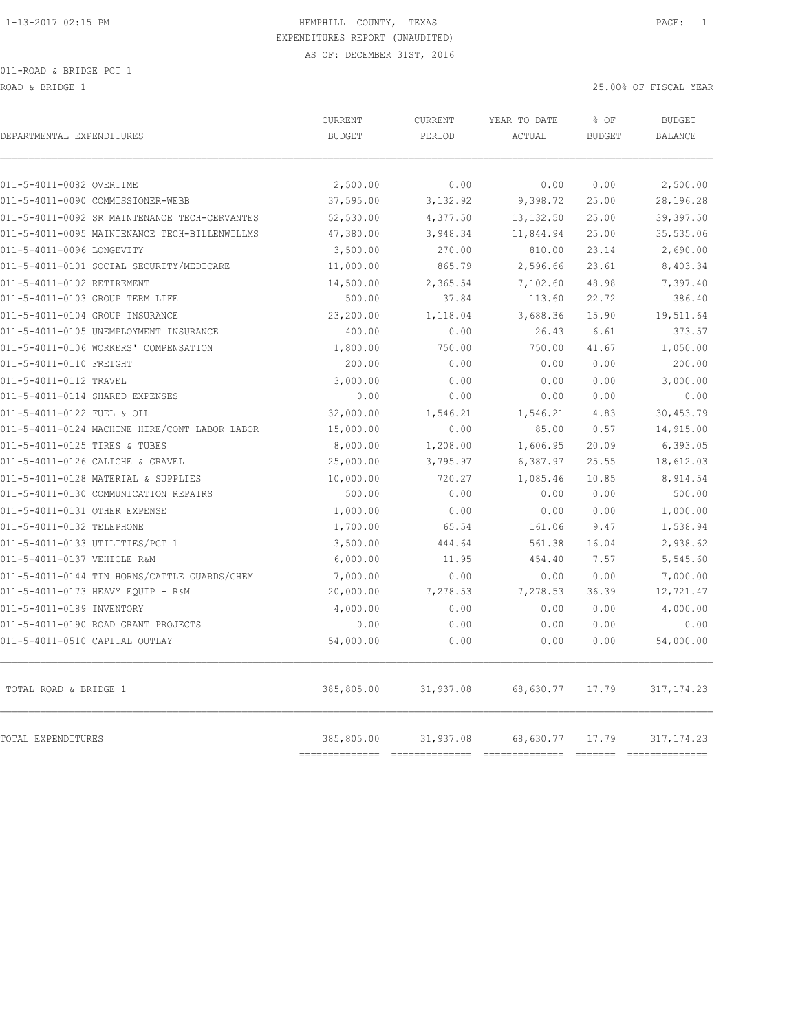ROAD & BRIDGE 1 25.00% OF FISCAL YEAR 25.00% OF FISCAL YEAR

| DEPARTMENTAL EXPENDITURES                     | CURRENT<br><b>BUDGET</b> | CURRENT<br>PERIOD | YEAR TO DATE<br>ACTUAL | % OF<br><b>BUDGET</b> | <b>BUDGET</b><br><b>BALANCE</b> |
|-----------------------------------------------|--------------------------|-------------------|------------------------|-----------------------|---------------------------------|
| 011-5-4011-0082 OVERTIME                      | 2,500.00                 | 0.00              | 0.00                   | 0.00                  | 2,500.00                        |
| 011-5-4011-0090 COMMISSIONER-WEBB             | 37,595.00                | 3,132.92          | 9,398.72               | 25.00                 | 28,196.28                       |
| 011-5-4011-0092 SR MAINTENANCE TECH-CERVANTES | 52,530.00                | 4,377.50          | 13, 132.50             | 25.00                 | 39,397.50                       |
| 011-5-4011-0095 MAINTENANCE TECH-BILLENWILLMS | 47,380.00                | 3,948.34          | 11,844.94              | 25.00                 | 35,535.06                       |
| 011-5-4011-0096 LONGEVITY                     | 3,500.00                 | 270.00            | 810.00                 | 23.14                 | 2,690.00                        |
| 011-5-4011-0101 SOCIAL SECURITY/MEDICARE      | 11,000.00                | 865.79            | 2,596.66               | 23.61                 | 8,403.34                        |
| 011-5-4011-0102 RETIREMENT                    | 14,500.00                | 2,365.54          | 7,102.60               | 48.98                 | 7,397.40                        |
| 011-5-4011-0103 GROUP TERM LIFE               | 500.00                   | 37.84             | 113.60                 | 22.72                 | 386.40                          |
| 011-5-4011-0104 GROUP INSURANCE               | 23,200.00                | 1,118.04          | 3,688.36               | 15.90                 | 19,511.64                       |
| 011-5-4011-0105 UNEMPLOYMENT INSURANCE        | 400.00                   | 0.00              | 26.43                  | 6.61                  | 373.57                          |
| 011-5-4011-0106 WORKERS' COMPENSATION         | 1,800.00                 | 750.00            | 750.00                 | 41.67                 | 1,050.00                        |
| 011-5-4011-0110 FREIGHT                       | 200.00                   | 0.00              | 0.00                   | 0.00                  | 200.00                          |
| 011-5-4011-0112 TRAVEL                        | 3,000.00                 | 0.00              | 0.00                   | 0.00                  | 3,000.00                        |
| 011-5-4011-0114 SHARED EXPENSES               | 0.00                     | 0.00              | 0.00                   | 0.00                  | 0.00                            |
| 011-5-4011-0122 FUEL & OIL                    | 32,000.00                | 1,546.21          | 1,546.21               | 4.83                  | 30,453.79                       |
| 011-5-4011-0124 MACHINE HIRE/CONT LABOR LABOR | 15,000.00                | 0.00              | 85.00                  | 0.57                  | 14,915.00                       |
| 011-5-4011-0125 TIRES & TUBES                 | 8,000.00                 | 1,208.00          | 1,606.95               | 20.09                 | 6,393.05                        |
| 011-5-4011-0126 CALICHE & GRAVEL              | 25,000.00                | 3,795.97          | 6,387.97               | 25.55                 | 18,612.03                       |
| 011-5-4011-0128 MATERIAL & SUPPLIES           | 10,000.00                | 720.27            | 1,085.46               | 10.85                 | 8,914.54                        |
| 011-5-4011-0130 COMMUNICATION REPAIRS         | 500.00                   | 0.00              | 0.00                   | 0.00                  | 500.00                          |
| 011-5-4011-0131 OTHER EXPENSE                 | 1,000.00                 | 0.00              | 0.00                   | 0.00                  | 1,000.00                        |
| 011-5-4011-0132 TELEPHONE                     | 1,700.00                 | 65.54             | 161.06                 | 9.47                  | 1,538.94                        |
| 011-5-4011-0133 UTILITIES/PCT 1               | 3,500.00                 | 444.64            | 561.38                 | 16.04                 | 2,938.62                        |
| 011-5-4011-0137 VEHICLE R&M                   | 6,000.00                 | 11.95             | 454.40                 | 7.57                  | 5,545.60                        |
| 011-5-4011-0144 TIN HORNS/CATTLE GUARDS/CHEM  | 7,000.00                 | 0.00              | 0.00                   | 0.00                  | 7,000.00                        |
| 011-5-4011-0173 HEAVY EQUIP - R&M             | 20,000.00                | 7,278.53          | 7,278.53               | 36.39                 | 12,721.47                       |
| 011-5-4011-0189 INVENTORY                     | 4,000.00                 | 0.00              | 0.00                   | 0.00                  | 4,000.00                        |
| 011-5-4011-0190 ROAD GRANT PROJECTS           | 0.00                     | 0.00              | 0.00                   | 0.00                  | 0.00                            |
| 011-5-4011-0510 CAPITAL OUTLAY                | 54,000.00                | 0.00              | 0.00                   | 0.00                  | 54,000.00                       |
| TOTAL ROAD & BRIDGE 1                         | 385,805.00               | 31,937.08         | 68,630.77              | 17.79                 | 317, 174.23                     |
| <b>TOTAL EXPENDITURES</b>                     | 385,805.00<br>========   | 31,937.08         | 68,630.77              | 17.79                 | 317, 174.23                     |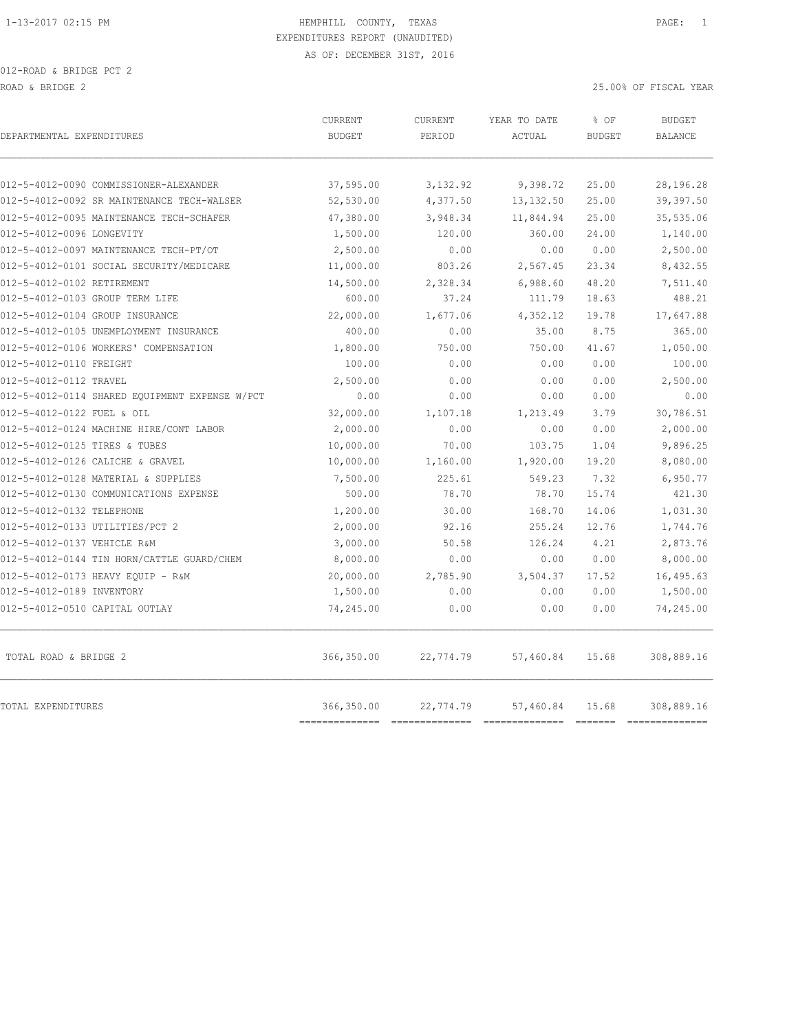| DEPARTMENTAL EXPENDITURES                                                            | CURRENT<br><b>BUDGET</b>  | CURRENT<br>PERIOD  | YEAR TO DATE<br>ACTUAL | % OF<br><b>BUDGET</b> | <b>BUDGET</b><br><b>BALANCE</b> |
|--------------------------------------------------------------------------------------|---------------------------|--------------------|------------------------|-----------------------|---------------------------------|
|                                                                                      |                           |                    |                        |                       |                                 |
| 012-5-4012-0090 COMMISSIONER-ALEXANDER<br>012-5-4012-0092 SR MAINTENANCE TECH-WALSER | 37,595.00                 | 3,132.92           | 9,398.72               | 25.00<br>25.00        | 28,196.28<br>39,397.50          |
|                                                                                      | 52,530.00                 | 4,377.50           | 13, 132.50             | 25.00                 |                                 |
| 012-5-4012-0095 MAINTENANCE TECH-SCHAFER<br>012-5-4012-0096 LONGEVITY                | 47,380.00<br>1,500.00     | 3,948.34<br>120.00 | 11,844.94<br>360.00    | 24.00                 | 35,535.06<br>1,140.00           |
| 012-5-4012-0097 MAINTENANCE TECH-PT/OT                                               |                           | 0.00               | 0.00                   | 0.00                  | 2,500.00                        |
| 012-5-4012-0101 SOCIAL SECURITY/MEDICARE                                             | 2,500.00<br>11,000.00     | 803.26             | 2,567.45               | 23.34                 | 8,432.55                        |
| 012-5-4012-0102 RETIREMENT                                                           | 14,500.00                 | 2,328.34           | 6,988.60               | 48.20                 | 7,511.40                        |
| 012-5-4012-0103 GROUP TERM LIFE                                                      | 600.00                    | 37.24              | 111.79                 | 18.63                 | 488.21                          |
| 012-5-4012-0104 GROUP INSURANCE                                                      | 22,000.00                 | 1,677.06           | 4,352.12               | 19.78                 | 17,647.88                       |
| 012-5-4012-0105 UNEMPLOYMENT INSURANCE                                               | 400.00                    | 0.00               | 35.00                  | 8.75                  | 365.00                          |
| 012-5-4012-0106 WORKERS' COMPENSATION                                                | 1,800.00                  | 750.00             | 750.00                 | 41.67                 | 1,050.00                        |
| 012-5-4012-0110 FREIGHT                                                              | 100.00                    | 0.00               | 0.00                   | 0.00                  | 100.00                          |
| 012-5-4012-0112 TRAVEL                                                               | 2,500.00                  | 0.00               | 0.00                   | 0.00                  | 2,500.00                        |
| 012-5-4012-0114 SHARED EQUIPMENT EXPENSE W/PCT                                       | 0.00                      | 0.00               | 0.00                   | 0.00                  | 0.00                            |
| 012-5-4012-0122 FUEL & OIL                                                           | 32,000.00                 | 1,107.18           | 1,213.49               | 3.79                  | 30,786.51                       |
| 012-5-4012-0124 MACHINE HIRE/CONT LABOR                                              | 2,000.00                  | 0.00               | 0.00                   | 0.00                  | 2,000.00                        |
| 012-5-4012-0125 TIRES & TUBES                                                        | 10,000.00                 | 70.00              | 103.75                 | 1.04                  | 9,896.25                        |
| 012-5-4012-0126 CALICHE & GRAVEL                                                     | 10,000.00                 | 1,160.00           | 1,920.00               | 19.20                 | 8,080.00                        |
| 012-5-4012-0128 MATERIAL & SUPPLIES                                                  | 7,500.00                  | 225.61             | 549.23                 | 7.32                  | 6,950.77                        |
| 012-5-4012-0130 COMMUNICATIONS EXPENSE                                               | 500.00                    | 78.70              | 78.70                  | 15.74                 | 421.30                          |
| 012-5-4012-0132 TELEPHONE                                                            | 1,200.00                  | 30.00              | 168.70                 | 14.06                 | 1,031.30                        |
| 012-5-4012-0133 UTILITIES/PCT 2                                                      | 2,000.00                  | 92.16              | 255.24                 | 12.76                 | 1,744.76                        |
| 012-5-4012-0137 VEHICLE R&M                                                          | 3,000.00                  | 50.58              | 126.24                 | 4.21                  | 2,873.76                        |
| 012-5-4012-0144 TIN HORN/CATTLE GUARD/CHEM                                           | 8,000.00                  | 0.00               | 0.00                   | 0.00                  | 8,000.00                        |
| 012-5-4012-0173 HEAVY EQUIP - R&M                                                    | 20,000.00                 | 2,785.90           | 3,504.37               | 17.52                 | 16,495.63                       |
| 012-5-4012-0189 INVENTORY                                                            | 1,500.00                  | 0.00               | 0.00                   | 0.00                  | 1,500.00                        |
| 012-5-4012-0510 CAPITAL OUTLAY                                                       | 74,245.00                 | 0.00               | 0.00                   | 0.00                  | 74,245.00                       |
| TOTAL ROAD & BRIDGE 2                                                                | 366,350.00                | 22,774.79          | 57,460.84              | 15.68                 | 308,889.16                      |
| TOTAL EXPENDITURES                                                                   | 366,350.00<br>=========== | 22,774.79          | 57,460.84              | 15.68                 | 308,889.16<br>-----------       |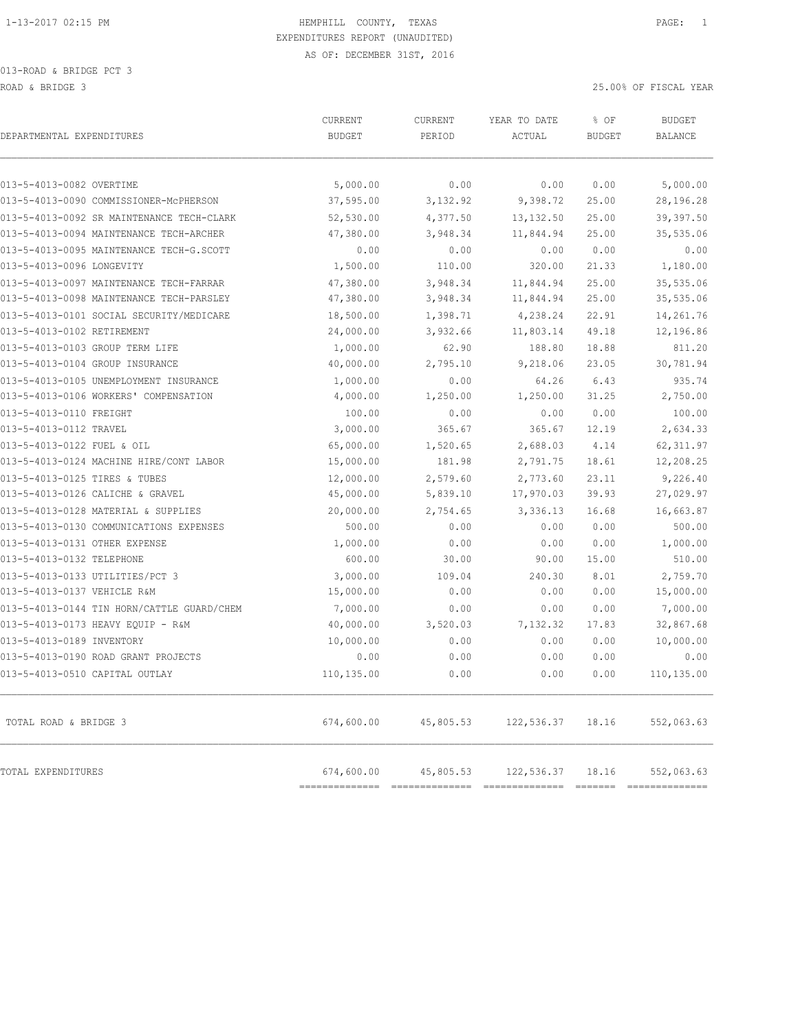| DEPARTMENTAL EXPENDITURES                  | CURRENT<br><b>BUDGET</b>     | <b>CURRENT</b><br>PERIOD | YEAR TO DATE<br>ACTUAL | % OF<br><b>BUDGET</b> | <b>BUDGET</b><br><b>BALANCE</b> |
|--------------------------------------------|------------------------------|--------------------------|------------------------|-----------------------|---------------------------------|
|                                            |                              |                          |                        |                       |                                 |
| 013-5-4013-0082 OVERTIME                   | 5,000.00                     | 0.00                     | 0.00                   | 0.00                  | 5,000.00                        |
| 013-5-4013-0090 COMMISSIONER-McPHERSON     | 37,595.00                    | 3,132.92                 | 9,398.72               | 25.00                 | 28,196.28                       |
| 013-5-4013-0092 SR MAINTENANCE TECH-CLARK  | 52,530.00                    | 4,377.50                 | 13, 132.50             | 25.00                 | 39,397.50                       |
| 013-5-4013-0094 MAINTENANCE TECH-ARCHER    | 47,380.00                    | 3,948.34                 | 11,844.94              | 25.00                 | 35,535.06                       |
| 013-5-4013-0095 MAINTENANCE TECH-G.SCOTT   | 0.00                         | 0.00                     | 0.00                   | 0.00                  | 0.00                            |
| 013-5-4013-0096 LONGEVITY                  | 1,500.00                     | 110.00                   | 320.00                 | 21.33                 | 1,180.00                        |
| 013-5-4013-0097 MAINTENANCE TECH-FARRAR    | 47,380.00                    | 3,948.34                 | 11,844.94              | 25.00                 | 35,535.06                       |
| 013-5-4013-0098 MAINTENANCE TECH-PARSLEY   | 47,380.00                    | 3,948.34                 | 11,844.94              | 25.00                 | 35,535.06                       |
| 013-5-4013-0101 SOCIAL SECURITY/MEDICARE   | 18,500.00                    | 1,398.71                 | 4,238.24               | 22.91                 | 14,261.76                       |
| 013-5-4013-0102 RETIREMENT                 | 24,000.00                    | 3,932.66                 | 11,803.14              | 49.18                 | 12,196.86                       |
| 013-5-4013-0103 GROUP TERM LIFE            | 1,000.00                     | 62.90                    | 188.80                 | 18.88                 | 811.20                          |
| 013-5-4013-0104 GROUP INSURANCE            | 40,000.00                    | 2,795.10                 | 9,218.06               | 23.05                 | 30,781.94                       |
| 013-5-4013-0105 UNEMPLOYMENT INSURANCE     | 1,000.00                     | 0.00                     | 64.26                  | 6.43                  | 935.74                          |
| 013-5-4013-0106 WORKERS' COMPENSATION      | 4,000.00                     | 1,250.00                 | 1,250.00               | 31.25                 | 2,750.00                        |
| 013-5-4013-0110 FREIGHT                    | 100.00                       | 0.00                     | 0.00                   | 0.00                  | 100.00                          |
| 013-5-4013-0112 TRAVEL                     | 3,000.00                     | 365.67                   | 365.67                 | 12.19                 | 2,634.33                        |
| 013-5-4013-0122 FUEL & OIL                 | 65,000.00                    | 1,520.65                 | 2,688.03               | 4.14                  | 62, 311.97                      |
| 013-5-4013-0124 MACHINE HIRE/CONT LABOR    | 15,000.00                    | 181.98                   | 2,791.75               | 18.61                 | 12,208.25                       |
| 013-5-4013-0125 TIRES & TUBES              | 12,000.00                    | 2,579.60                 | 2,773.60               | 23.11                 | 9,226.40                        |
| 013-5-4013-0126 CALICHE & GRAVEL           | 45,000.00                    | 5,839.10                 | 17,970.03              | 39.93                 | 27,029.97                       |
| 013-5-4013-0128 MATERIAL & SUPPLIES        | 20,000.00                    | 2,754.65                 | 3,336.13               | 16.68                 | 16,663.87                       |
| 013-5-4013-0130 COMMUNICATIONS EXPENSES    | 500.00                       | 0.00                     | 0.00                   | 0.00                  | 500.00                          |
| 013-5-4013-0131 OTHER EXPENSE              | 1,000.00                     | 0.00                     | 0.00                   | 0.00                  | 1,000.00                        |
| 013-5-4013-0132 TELEPHONE                  | 600.00                       | 30.00                    | 90.00                  | 15.00                 | 510.00                          |
| 013-5-4013-0133 UTILITIES/PCT 3            | 3,000.00                     | 109.04                   | 240.30                 | 8.01                  | 2,759.70                        |
| 013-5-4013-0137 VEHICLE R&M                | 15,000.00                    | 0.00                     | 0.00                   | 0.00                  | 15,000.00                       |
| 013-5-4013-0144 TIN HORN/CATTLE GUARD/CHEM | 7,000.00                     | 0.00                     | 0.00                   | 0.00                  | 7,000.00                        |
| 013-5-4013-0173 HEAVY EQUIP - R&M          | 40,000.00                    | 3,520.03                 | 7,132.32               | 17.83                 | 32,867.68                       |
| 013-5-4013-0189 INVENTORY                  | 10,000.00                    | 0.00                     | 0.00                   | 0.00                  | 10,000.00                       |
| 013-5-4013-0190 ROAD GRANT PROJECTS        | 0.00                         | 0.00                     | 0.00                   | 0.00                  | 0.00                            |
| 013-5-4013-0510 CAPITAL OUTLAY             | 110,135.00                   | 0.00                     | 0.00                   | 0.00                  | 110,135.00                      |
| TOTAL ROAD & BRIDGE 3                      | 674,600.00                   | 45,805.53                | 122,536.37             | 18.16                 | 552,063.63                      |
| TOTAL EXPENDITURES                         | 674,600.00<br>============== | 45,805.53                | 122,536.37             | 18.16                 | 552,063.63                      |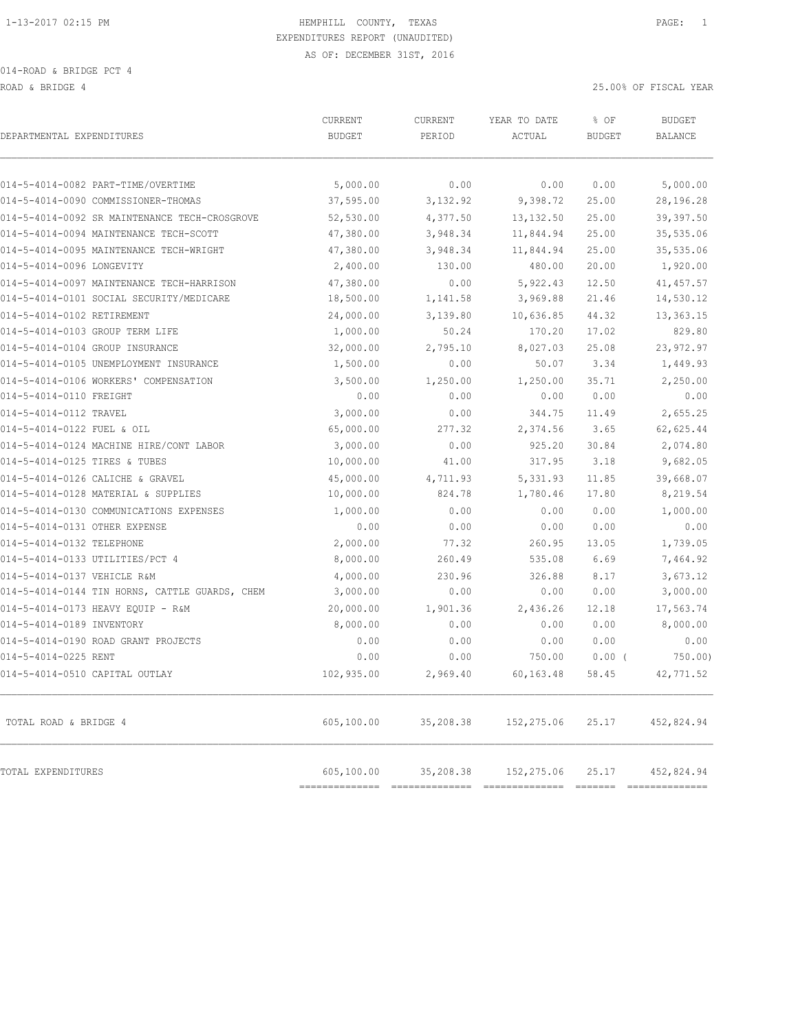ROAD & BRIDGE 4 25.00% OF FISCAL YEAR

| DEPARTMENTAL EXPENDITURES                      | CURRENT<br><b>BUDGET</b> | CURRENT<br>PERIOD | YEAR TO DATE<br>ACTUAL | % OF<br><b>BUDGET</b> | <b>BUDGET</b><br>BALANCE |
|------------------------------------------------|--------------------------|-------------------|------------------------|-----------------------|--------------------------|
| 014-5-4014-0082 PART-TIME/OVERTIME             | 5,000.00                 | 0.00              | 0.00                   | 0.00                  | 5,000.00                 |
| 014-5-4014-0090 COMMISSIONER-THOMAS            | 37,595.00                | 3,132.92          | 9,398.72               | 25.00                 | 28,196.28                |
| 014-5-4014-0092 SR MAINTENANCE TECH-CROSGROVE  | 52,530.00                | 4,377.50          | 13, 132.50             | 25.00                 | 39,397.50                |
| 014-5-4014-0094 MAINTENANCE TECH-SCOTT         | 47,380.00                | 3,948.34          | 11,844.94              | 25.00                 | 35,535.06                |
| 014-5-4014-0095 MAINTENANCE TECH-WRIGHT        | 47,380.00                | 3,948.34          | 11,844.94              | 25.00                 | 35,535.06                |
| 014-5-4014-0096 LONGEVITY                      | 2,400.00                 | 130.00            | 480.00                 | 20.00                 | 1,920.00                 |
| 014-5-4014-0097 MAINTENANCE TECH-HARRISON      | 47,380.00                | 0.00              | 5,922.43               | 12.50                 | 41, 457.57               |
| 014-5-4014-0101 SOCIAL SECURITY/MEDICARE       | 18,500.00                | 1,141.58          | 3,969.88               | 21.46                 | 14,530.12                |
| 014-5-4014-0102 RETIREMENT                     | 24,000.00                | 3,139.80          | 10,636.85              | 44.32                 | 13,363.15                |
| 014-5-4014-0103 GROUP TERM LIFE                | 1,000.00                 | 50.24             | 170.20                 | 17.02                 | 829.80                   |
| 014-5-4014-0104 GROUP INSURANCE                | 32,000.00                | 2,795.10          | 8,027.03               | 25.08                 | 23,972.97                |
| 014-5-4014-0105 UNEMPLOYMENT INSURANCE         | 1,500.00                 | 0.00              | 50.07                  | 3.34                  | 1,449.93                 |
| 014-5-4014-0106 WORKERS' COMPENSATION          | 3,500.00                 | 1,250.00          | 1,250.00               | 35.71                 | 2,250.00                 |
| 014-5-4014-0110 FREIGHT                        | 0.00                     | 0.00              | 0.00                   | 0.00                  | 0.00                     |
| 014-5-4014-0112 TRAVEL                         | 3,000.00                 | 0.00              | 344.75                 | 11.49                 | 2,655.25                 |
| 014-5-4014-0122 FUEL & OIL                     | 65,000.00                | 277.32            | 2,374.56               | 3.65                  | 62,625.44                |
| 014-5-4014-0124 MACHINE HIRE/CONT LABOR        | 3,000.00                 | 0.00              | 925.20                 | 30.84                 | 2,074.80                 |
| 014-5-4014-0125 TIRES & TUBES                  | 10,000.00                | 41.00             | 317.95                 | 3.18                  | 9,682.05                 |
| 014-5-4014-0126 CALICHE & GRAVEL               | 45,000.00                | 4,711.93          | 5,331.93               | 11.85                 | 39,668.07                |
| 014-5-4014-0128 MATERIAL & SUPPLIES            | 10,000.00                | 824.78            | 1,780.46               | 17.80                 | 8,219.54                 |
| 014-5-4014-0130 COMMUNICATIONS EXPENSES        | 1,000.00                 | 0.00              | 0.00                   | 0.00                  | 1,000.00                 |
| 014-5-4014-0131 OTHER EXPENSE                  | 0.00                     | 0.00              | 0.00                   | 0.00                  | 0.00                     |
| 014-5-4014-0132 TELEPHONE                      | 2,000.00                 | 77.32             | 260.95                 | 13.05                 | 1,739.05                 |
| 014-5-4014-0133 UTILITIES/PCT 4                | 8,000.00                 | 260.49            | 535.08                 | 6.69                  | 7,464.92                 |
| 014-5-4014-0137 VEHICLE R&M                    | 4,000.00                 | 230.96            | 326.88                 | 8.17                  | 3,673.12                 |
| 014-5-4014-0144 TIN HORNS, CATTLE GUARDS, CHEM | 3,000.00                 | 0.00              | 0.00                   | 0.00                  | 3,000.00                 |
| 014-5-4014-0173 HEAVY EQUIP - R&M              | 20,000.00                | 1,901.36          | 2,436.26               | 12.18                 | 17,563.74                |
| 014-5-4014-0189 INVENTORY                      | 8,000.00                 | 0.00              | 0.00                   | 0.00                  | 8,000.00                 |
| 014-5-4014-0190 ROAD GRANT PROJECTS            | 0.00                     | 0.00              | 0.00                   | 0.00                  | 0.00                     |
| 014-5-4014-0225 RENT                           | 0.00                     | 0.00              | 750.00                 | $0.00$ (              | 750.00                   |
| 014-5-4014-0510 CAPITAL OUTLAY                 | 102,935.00               | 2,969.40          | 60,163.48              | 58.45                 | 42,771.52                |
| TOTAL ROAD & BRIDGE 4                          | 605,100.00               | 35,208.38         | 152,275.06             | 25.17                 | 452,824.94               |
| TOTAL EXPENDITURES                             | 605,100.00<br>---------- | 35,208.38         | 152,275.06             | 25.17                 | 452,824.94               |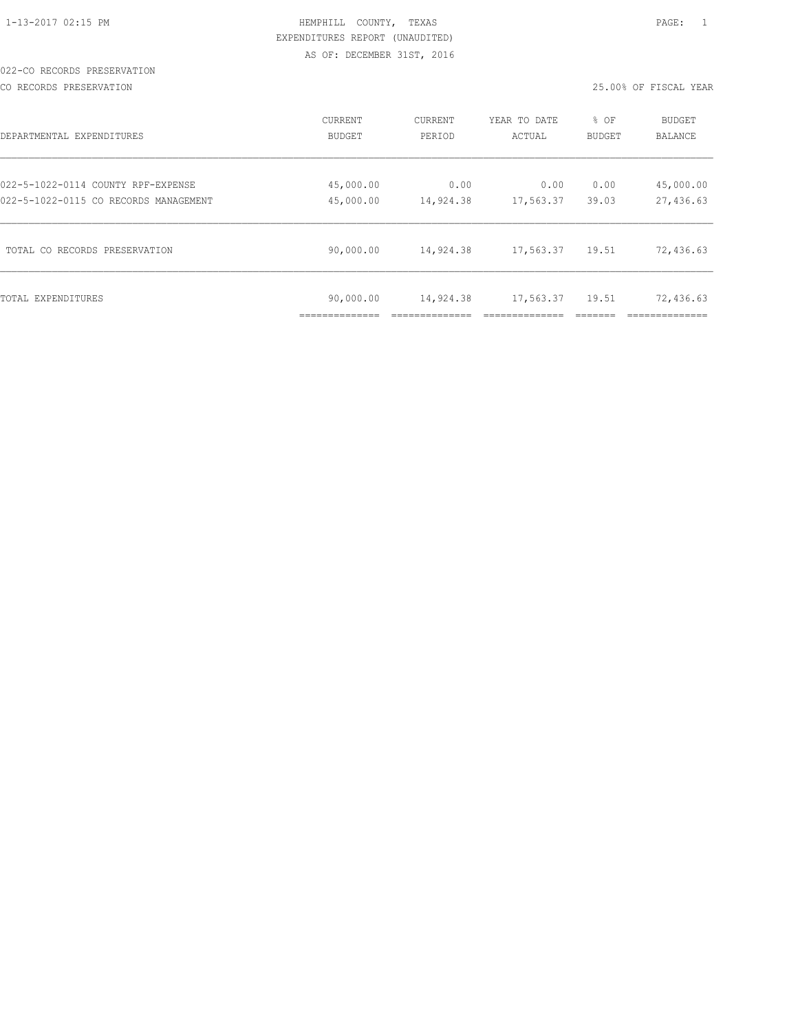#### 022-CO RECORDS PRESERVATION

CO RECORDS PRESERVATION 25.00% OF FISCAL YEAR

| DEPARTMENTAL EXPENDITURES             | <b>CURRENT</b> | <b>CURRENT</b> | YEAR TO DATE | % OF          | <b>BUDGET</b> |
|---------------------------------------|----------------|----------------|--------------|---------------|---------------|
|                                       | <b>BUDGET</b>  | PERIOD         | ACTUAL       | <b>BUDGET</b> | BALANCE       |
| 022-5-1022-0114 COUNTY RPF-EXPENSE    | 45,000.00      | 0.00           | 0.00         | 0.00          | 45,000.00     |
| 022-5-1022-0115 CO RECORDS MANAGEMENT | 45,000.00      | 14,924.38      | 17,563.37    | 39.03         | 27,436.63     |
| TOTAL CO RECORDS PRESERVATION         | 90,000.00      | 14,924.38      | 17,563.37    | 19.51         | 72,436.63     |
| TOTAL EXPENDITURES                    | 90,000.00      | 14,924.38      | 17,563.37    | 19.51         | 72,436.63     |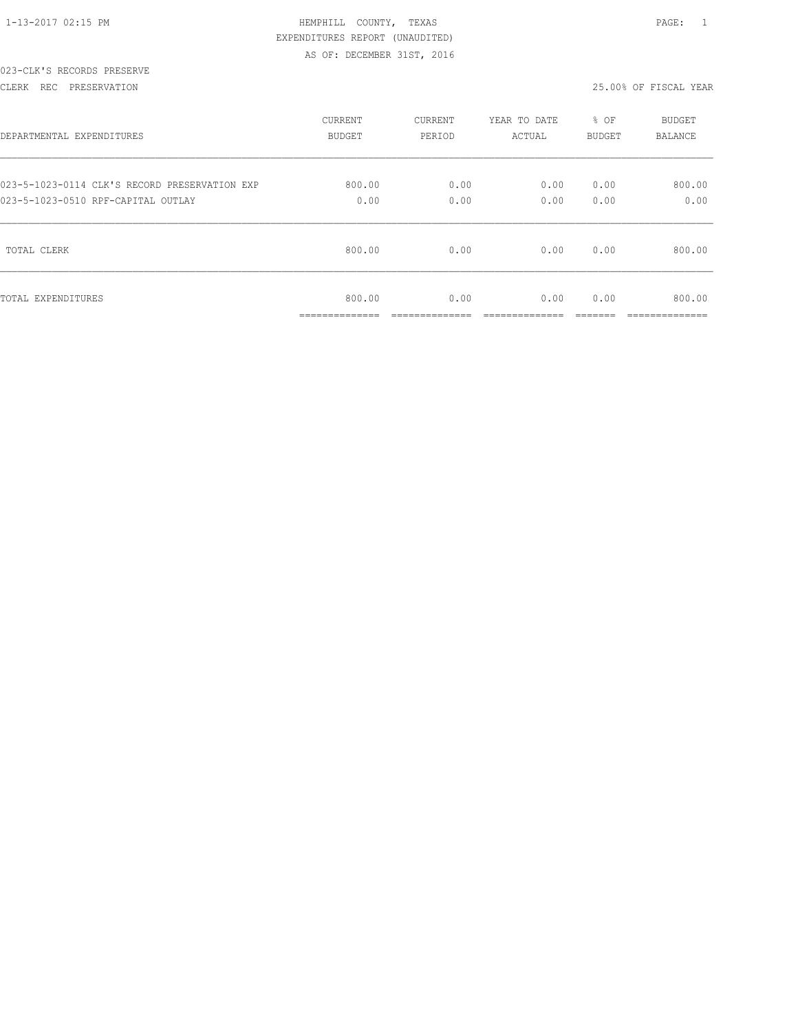| 1-13-2017 02:15 PM |  |
|--------------------|--|

# 023-CLK'S RECORDS PRESERVE

#### CLERK REC PRESERVATION 25.00% OF FISCAL YEAR

| DEPARTMENTAL EXPENDITURES                     | <b>CURRENT</b>                        | CURRENT                | YEAR TO DATE           | % OF          | <b>BUDGET</b>            |
|-----------------------------------------------|---------------------------------------|------------------------|------------------------|---------------|--------------------------|
|                                               | <b>BUDGET</b>                         | PERIOD                 | ACTUAL                 | BUDGET        | <b>BALANCE</b>           |
| 023-5-1023-0114 CLK'S RECORD PRESERVATION EXP | 800.00                                | 0.00                   | 0.00                   | 0.00          | 800.00                   |
| 023-5-1023-0510 RPF-CAPITAL OUTLAY            | 0.00                                  | 0.00                   | 0.00                   | 0.00          | 0.00                     |
| TOTAL CLERK                                   | 800.00                                | 0.00                   | 0.00                   | 0.00          | 800.00                   |
| TOTAL EXPENDITURES                            | 800.00<br>______________<br>--------- | 0.00<br>______________ | 0.00<br>______________ | 0.00<br>_____ | 800.00<br>______________ |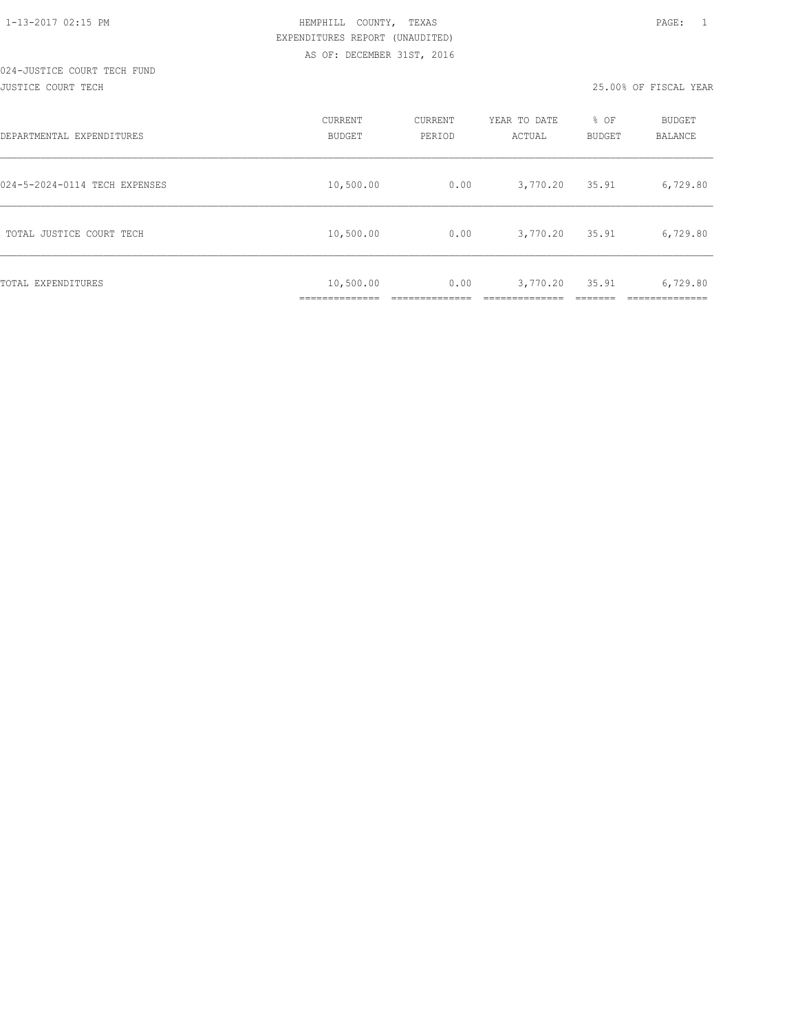| DEPARTMENTAL EXPENDITURES     | CURRENT<br><b>BUDGET</b>                   | CURRENT<br>PERIOD | YEAR TO DATE<br>ACTUAL | % OF<br><b>BUDGET</b> | <b>BUDGET</b><br><b>BALANCE</b> |
|-------------------------------|--------------------------------------------|-------------------|------------------------|-----------------------|---------------------------------|
| 024-5-2024-0114 TECH EXPENSES | 10,500.00                                  | 0.00              | 3,770.20               | 35.91                 | 6,729.80                        |
| TOTAL JUSTICE COURT TECH      | 10,500.00                                  | 0.00              | 3,770.20               | 35.91                 | 6,729.80                        |
| TOTAL EXPENDITURES            | 10,500.00<br>. _ _ _ _ _ _ _ _ _ _ _ _ _ _ | 0.00              | 3,770.20               | 35.91                 | 6,729.80                        |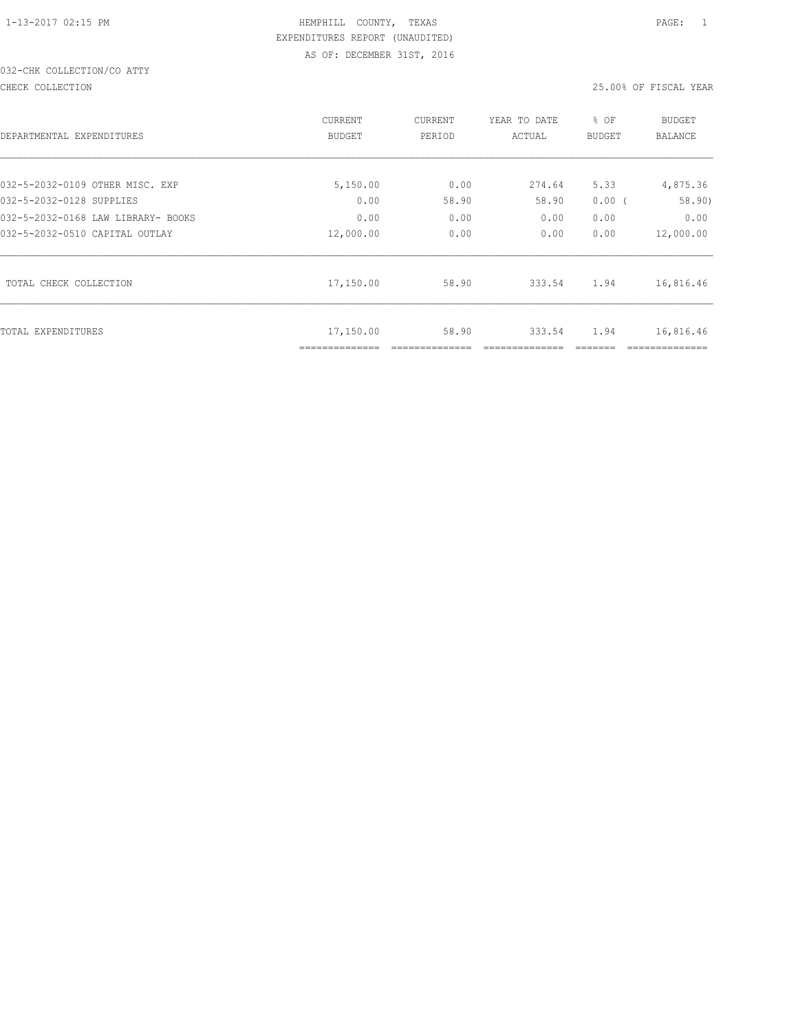# 032-CHK COLLECTION/CO ATTY

CHECK COLLECTION 25.00% OF FISCAL YEAR

| DEPARTMENTAL EXPENDITURES          | CURRENT<br><b>BUDGET</b>   | CURRENT<br>PERIOD | YEAR TO DATE<br>ACTUAL | % OF<br><b>BUDGET</b> | <b>BUDGET</b><br><b>BALANCE</b> |
|------------------------------------|----------------------------|-------------------|------------------------|-----------------------|---------------------------------|
| 032-5-2032-0109 OTHER MISC. EXP    | 5,150.00                   | 0.00              | 274.64                 | 5.33                  | 4,875.36                        |
| 032-5-2032-0128 SUPPLIES           | 0.00                       | 58.90             | 58.90                  | 0.00(                 | 58.90)                          |
| 032-5-2032-0168 LAW LIBRARY- BOOKS | 0.00                       | 0.00              | 0.00                   | 0.00                  | 0.00                            |
| 032-5-2032-0510 CAPITAL OUTLAY     | 12,000.00                  | 0.00              | 0.00                   | 0.00                  | 12,000.00                       |
| TOTAL CHECK COLLECTION             | 17,150.00                  | 58.90             | 333.54                 | 1.94                  | 16,816.46                       |
| TOTAL EXPENDITURES                 | 17,150.00<br>------------- | 58.90             | 333.54                 | 1.94                  | 16,816.46                       |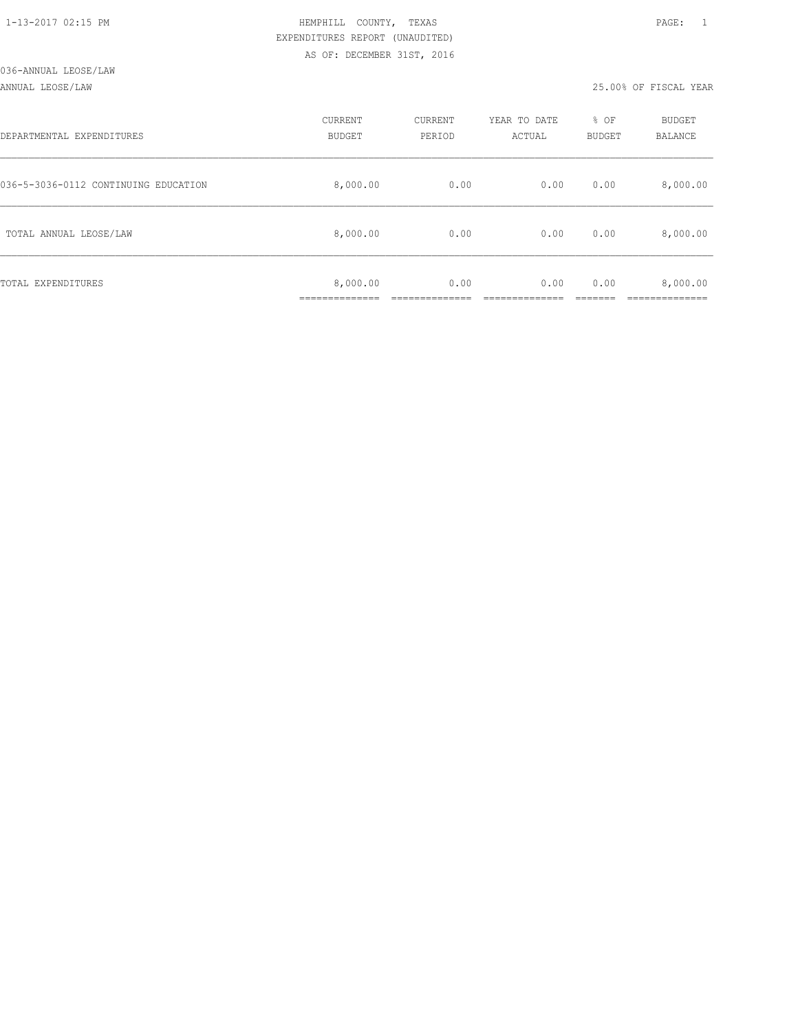#### ANNUAL LEOSE/LAW 25.00% OF FISCAL YEAR

| DEPARTMENTAL EXPENDITURES            | CURRENT<br><b>BUDGET</b> | CURRENT<br>PERIOD | YEAR TO DATE<br>ACTUAL | % OF<br>BUDGET | BUDGET<br>BALANCE |
|--------------------------------------|--------------------------|-------------------|------------------------|----------------|-------------------|
| 036-5-3036-0112 CONTINUING EDUCATION | 8,000.00                 | 0.00              | 0.00                   | 0.00           | 8,000.00          |
| TOTAL ANNUAL LEOSE/LAW               | 8,000.00                 | 0.00              | 0.00                   | 0.00           | 8,000.00          |
| TOTAL EXPENDITURES                   | 8,000.00<br>___________  | 0.00              | 0.00                   | 0.00           | 8,000.00          |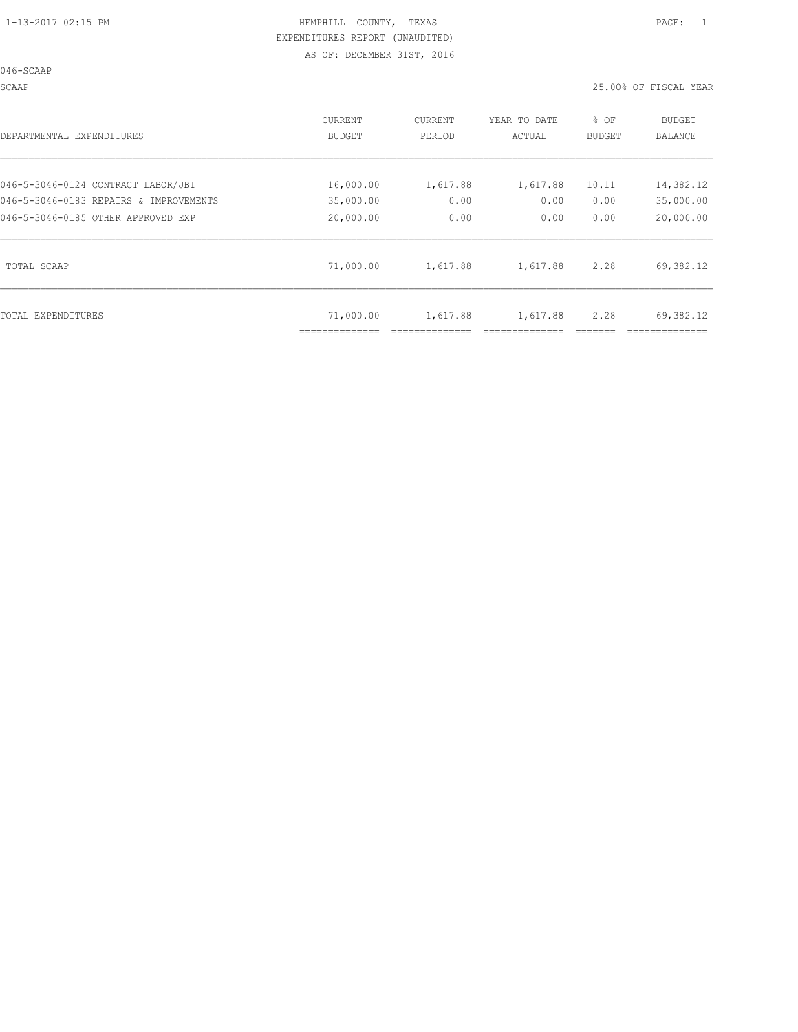046-SCAAP

SCAAP 25.00% OF FISCAL YEAR

| DEPARTMENTAL EXPENDITURES              | CURRENT<br><b>BUDGET</b> | CURRENT<br>PERIOD | YEAR TO DATE<br>ACTUAL | % OF<br><b>BUDGET</b> | BUDGET<br><b>BALANCE</b> |
|----------------------------------------|--------------------------|-------------------|------------------------|-----------------------|--------------------------|
| 046-5-3046-0124 CONTRACT LABOR/JBI     | 16,000.00                | 1,617.88          | 1,617.88               | 10.11                 | 14,382.12                |
| 046-5-3046-0183 REPAIRS & IMPROVEMENTS | 35,000.00                | 0.00              | 0.00                   | 0.00                  | 35,000.00                |
| 046-5-3046-0185 OTHER APPROVED EXP     | 20,000.00                | 0.00              | 0.00                   | 0.00                  | 20,000.00                |
| TOTAL SCAAP                            | 71,000.00                | 1,617.88          | 1,617.88               | 2.28                  | 69,382.12                |
| TOTAL EXPENDITURES                     | 71,000.00                | 1,617.88          | 1,617.88               | 2.28                  | 69,382.12                |